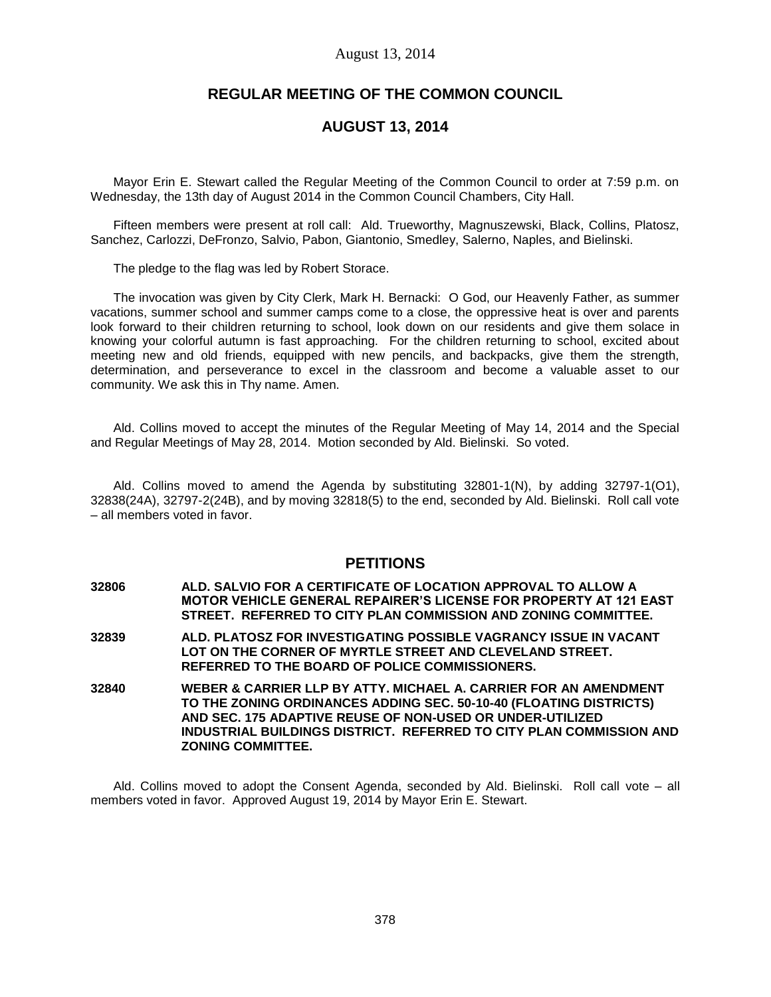# **REGULAR MEETING OF THE COMMON COUNCIL**

# **AUGUST 13, 2014**

Mayor Erin E. Stewart called the Regular Meeting of the Common Council to order at 7:59 p.m. on Wednesday, the 13th day of August 2014 in the Common Council Chambers, City Hall.

Fifteen members were present at roll call: Ald. Trueworthy, Magnuszewski, Black, Collins, Platosz, Sanchez, Carlozzi, DeFronzo, Salvio, Pabon, Giantonio, Smedley, Salerno, Naples, and Bielinski.

The pledge to the flag was led by Robert Storace.

The invocation was given by City Clerk, Mark H. Bernacki: O God, our Heavenly Father, as summer vacations, summer school and summer camps come to a close, the oppressive heat is over and parents look forward to their children returning to school, look down on our residents and give them solace in knowing your colorful autumn is fast approaching. For the children returning to school, excited about meeting new and old friends, equipped with new pencils, and backpacks, give them the strength, determination, and perseverance to excel in the classroom and become a valuable asset to our community. We ask this in Thy name. Amen.

Ald. Collins moved to accept the minutes of the Regular Meeting of May 14, 2014 and the Special and Regular Meetings of May 28, 2014. Motion seconded by Ald. Bielinski. So voted.

Ald. Collins moved to amend the Agenda by substituting 32801-1(N), by adding 32797-1(O1), 32838(24A), 32797-2(24B), and by moving 32818(5) to the end, seconded by Ald. Bielinski. Roll call vote – all members voted in favor.

# **PETITIONS**

- **32806 ALD. SALVIO FOR A CERTIFICATE OF LOCATION APPROVAL TO ALLOW A MOTOR VEHICLE GENERAL REPAIRER'S LICENSE FOR PROPERTY AT 121 EAST STREET. REFERRED TO CITY PLAN COMMISSION AND ZONING COMMITTEE.**
- **32839 ALD. PLATOSZ FOR INVESTIGATING POSSIBLE VAGRANCY ISSUE IN VACANT LOT ON THE CORNER OF MYRTLE STREET AND CLEVELAND STREET. REFERRED TO THE BOARD OF POLICE COMMISSIONERS.**
- **32840 WEBER & CARRIER LLP BY ATTY. MICHAEL A. CARRIER FOR AN AMENDMENT TO THE ZONING ORDINANCES ADDING SEC. 50-10-40 (FLOATING DISTRICTS) AND SEC. 175 ADAPTIVE REUSE OF NON-USED OR UNDER-UTILIZED INDUSTRIAL BUILDINGS DISTRICT. REFERRED TO CITY PLAN COMMISSION AND ZONING COMMITTEE.**

Ald. Collins moved to adopt the Consent Agenda, seconded by Ald. Bielinski. Roll call vote – all members voted in favor. Approved August 19, 2014 by Mayor Erin E. Stewart.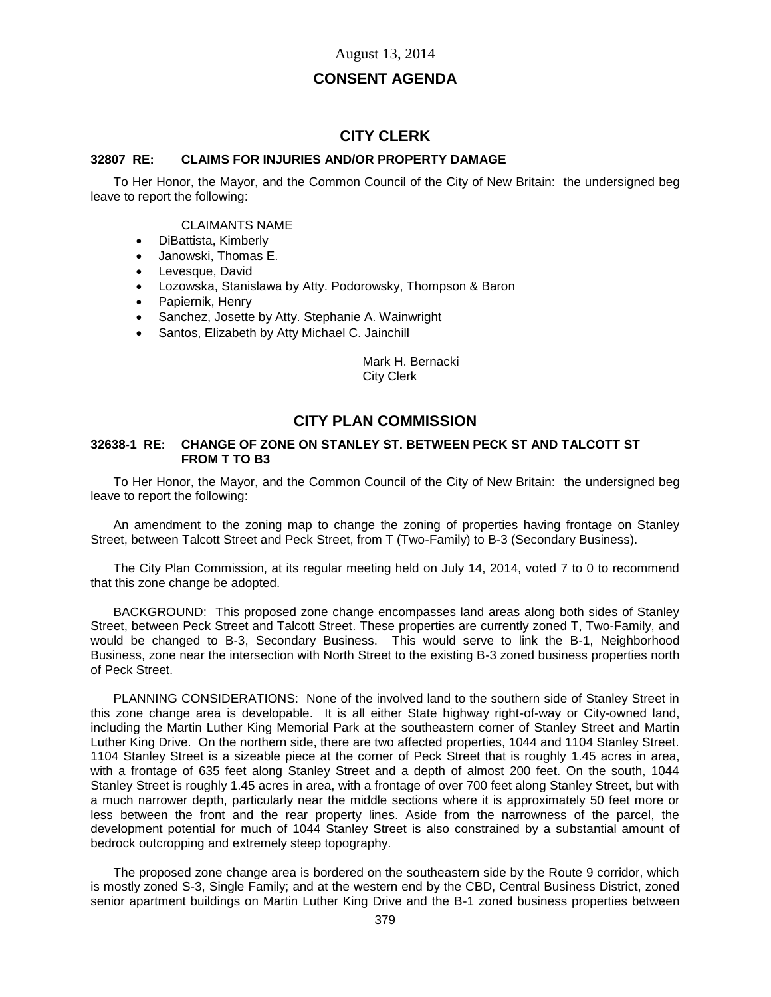# **CONSENT AGENDA**

# **CITY CLERK**

# **32807 RE: CLAIMS FOR INJURIES AND/OR PROPERTY DAMAGE**

To Her Honor, the Mayor, and the Common Council of the City of New Britain: the undersigned beg leave to report the following:

#### CLAIMANTS NAME

- DiBattista, Kimberly
- Janowski, Thomas E.
- Levesque, David
- Lozowska, Stanislawa by Atty. Podorowsky, Thompson & Baron
- Papiernik, Henry
- Sanchez, Josette by Atty. Stephanie A. Wainwright
- Santos, Elizabeth by Atty Michael C. Jainchill

#### Mark H. Bernacki City Clerk

# **CITY PLAN COMMISSION**

#### **32638-1 RE: CHANGE OF ZONE ON STANLEY ST. BETWEEN PECK ST AND TALCOTT ST FROM T TO B3**

To Her Honor, the Mayor, and the Common Council of the City of New Britain: the undersigned beg leave to report the following:

An amendment to the zoning map to change the zoning of properties having frontage on Stanley Street, between Talcott Street and Peck Street, from T (Two-Family) to B-3 (Secondary Business).

The City Plan Commission, at its regular meeting held on July 14, 2014, voted 7 to 0 to recommend that this zone change be adopted.

BACKGROUND: This proposed zone change encompasses land areas along both sides of Stanley Street, between Peck Street and Talcott Street. These properties are currently zoned T, Two-Family, and would be changed to B-3, Secondary Business. This would serve to link the B-1, Neighborhood Business, zone near the intersection with North Street to the existing B-3 zoned business properties north of Peck Street.

PLANNING CONSIDERATIONS: None of the involved land to the southern side of Stanley Street in this zone change area is developable. It is all either State highway right-of-way or City-owned land, including the Martin Luther King Memorial Park at the southeastern corner of Stanley Street and Martin Luther King Drive. On the northern side, there are two affected properties, 1044 and 1104 Stanley Street. 1104 Stanley Street is a sizeable piece at the corner of Peck Street that is roughly 1.45 acres in area, with a frontage of 635 feet along Stanley Street and a depth of almost 200 feet. On the south, 1044 Stanley Street is roughly 1.45 acres in area, with a frontage of over 700 feet along Stanley Street, but with a much narrower depth, particularly near the middle sections where it is approximately 50 feet more or less between the front and the rear property lines. Aside from the narrowness of the parcel, the development potential for much of 1044 Stanley Street is also constrained by a substantial amount of bedrock outcropping and extremely steep topography.

The proposed zone change area is bordered on the southeastern side by the Route 9 corridor, which is mostly zoned S-3, Single Family; and at the western end by the CBD, Central Business District, zoned senior apartment buildings on Martin Luther King Drive and the B-1 zoned business properties between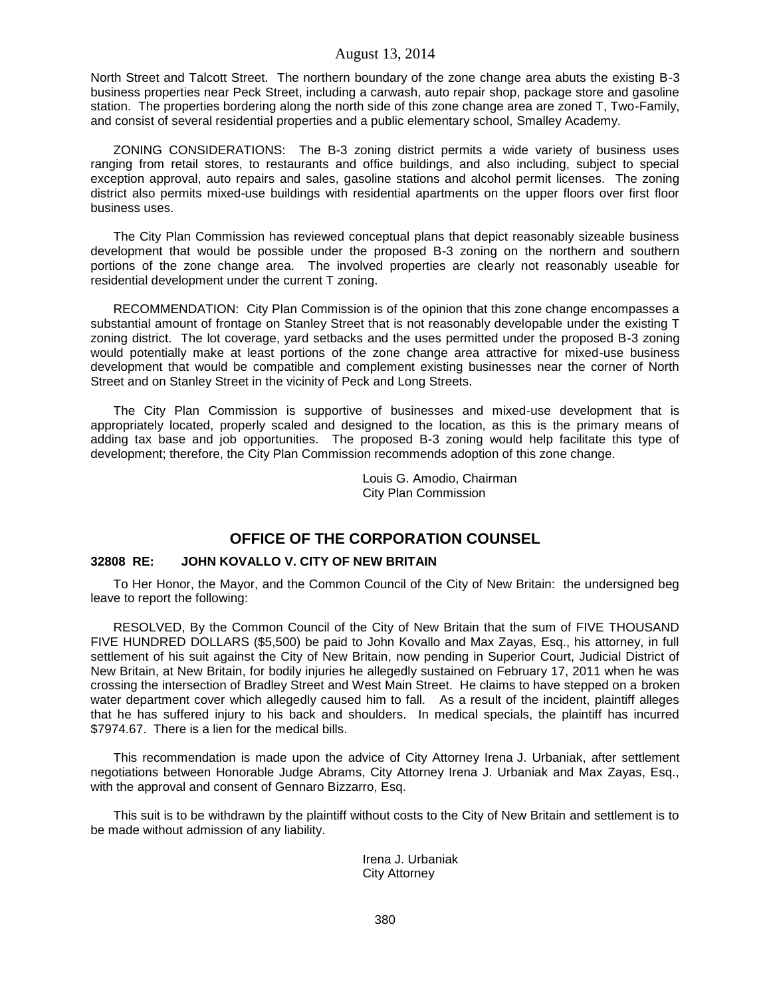North Street and Talcott Street. The northern boundary of the zone change area abuts the existing B-3 business properties near Peck Street, including a carwash, auto repair shop, package store and gasoline station. The properties bordering along the north side of this zone change area are zoned T, Two-Family, and consist of several residential properties and a public elementary school, Smalley Academy.

ZONING CONSIDERATIONS: The B-3 zoning district permits a wide variety of business uses ranging from retail stores, to restaurants and office buildings, and also including, subject to special exception approval, auto repairs and sales, gasoline stations and alcohol permit licenses. The zoning district also permits mixed-use buildings with residential apartments on the upper floors over first floor business uses.

The City Plan Commission has reviewed conceptual plans that depict reasonably sizeable business development that would be possible under the proposed B-3 zoning on the northern and southern portions of the zone change area. The involved properties are clearly not reasonably useable for residential development under the current T zoning.

RECOMMENDATION: City Plan Commission is of the opinion that this zone change encompasses a substantial amount of frontage on Stanley Street that is not reasonably developable under the existing T zoning district. The lot coverage, yard setbacks and the uses permitted under the proposed B-3 zoning would potentially make at least portions of the zone change area attractive for mixed-use business development that would be compatible and complement existing businesses near the corner of North Street and on Stanley Street in the vicinity of Peck and Long Streets.

The City Plan Commission is supportive of businesses and mixed-use development that is appropriately located, properly scaled and designed to the location, as this is the primary means of adding tax base and job opportunities. The proposed B-3 zoning would help facilitate this type of development; therefore, the City Plan Commission recommends adoption of this zone change.

> Louis G. Amodio, Chairman City Plan Commission

# **OFFICE OF THE CORPORATION COUNSEL**

## **32808 RE: JOHN KOVALLO V. CITY OF NEW BRITAIN**

To Her Honor, the Mayor, and the Common Council of the City of New Britain: the undersigned beg leave to report the following:

RESOLVED, By the Common Council of the City of New Britain that the sum of FIVE THOUSAND FIVE HUNDRED DOLLARS (\$5,500) be paid to John Kovallo and Max Zayas, Esq., his attorney, in full settlement of his suit against the City of New Britain, now pending in Superior Court, Judicial District of New Britain, at New Britain, for bodily injuries he allegedly sustained on February 17, 2011 when he was crossing the intersection of Bradley Street and West Main Street. He claims to have stepped on a broken water department cover which allegedly caused him to fall. As a result of the incident, plaintiff alleges that he has suffered injury to his back and shoulders. In medical specials, the plaintiff has incurred \$7974.67. There is a lien for the medical bills.

This recommendation is made upon the advice of City Attorney Irena J. Urbaniak, after settlement negotiations between Honorable Judge Abrams, City Attorney Irena J. Urbaniak and Max Zayas, Esq., with the approval and consent of Gennaro Bizzarro, Esq.

This suit is to be withdrawn by the plaintiff without costs to the City of New Britain and settlement is to be made without admission of any liability.

> Irena J. Urbaniak City Attorney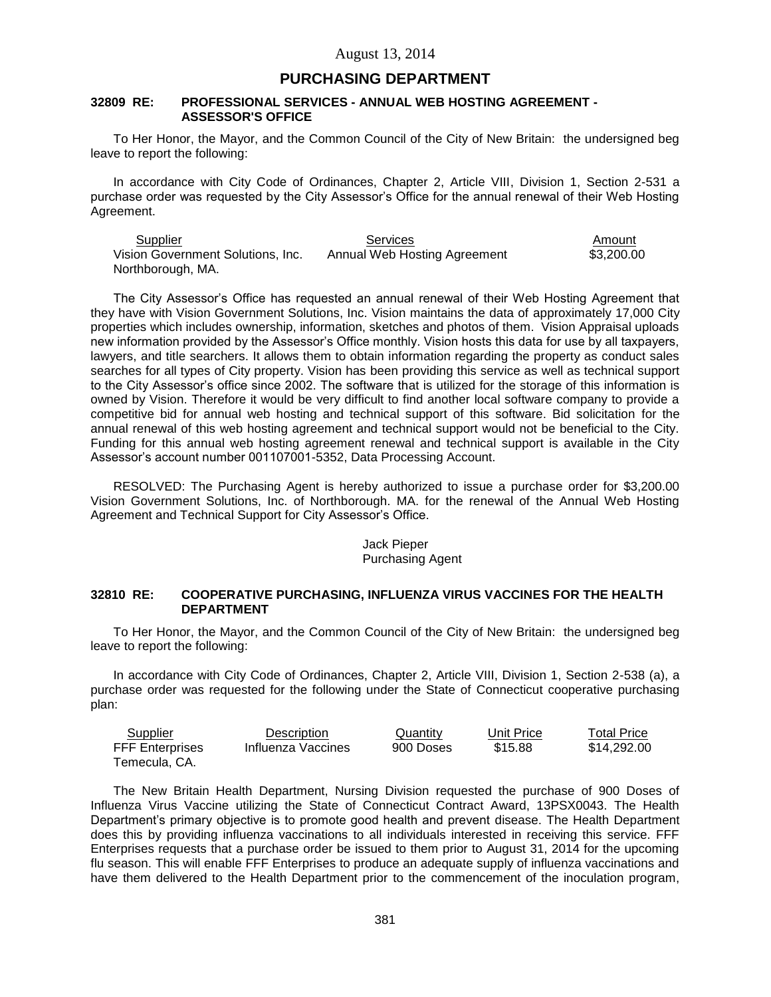# **PURCHASING DEPARTMENT**

#### **32809 RE: PROFESSIONAL SERVICES - ANNUAL WEB HOSTING AGREEMENT - ASSESSOR'S OFFICE**

To Her Honor, the Mayor, and the Common Council of the City of New Britain: the undersigned beg leave to report the following:

In accordance with City Code of Ordinances, Chapter 2, Article VIII, Division 1, Section 2-531 a purchase order was requested by the City Assessor's Office for the annual renewal of their Web Hosting Agreement.

| Supplier                          | <b>Services</b>              | Amount     |
|-----------------------------------|------------------------------|------------|
| Vision Government Solutions. Inc. | Annual Web Hosting Agreement | \$3,200.00 |
| Northborough, MA.                 |                              |            |

The City Assessor's Office has requested an annual renewal of their Web Hosting Agreement that they have with Vision Government Solutions, Inc. Vision maintains the data of approximately 17,000 City properties which includes ownership, information, sketches and photos of them. Vision Appraisal uploads new information provided by the Assessor's Office monthly. Vision hosts this data for use by all taxpayers, lawyers, and title searchers. It allows them to obtain information regarding the property as conduct sales searches for all types of City property. Vision has been providing this service as well as technical support to the City Assessor's office since 2002. The software that is utilized for the storage of this information is owned by Vision. Therefore it would be very difficult to find another local software company to provide a competitive bid for annual web hosting and technical support of this software. Bid solicitation for the annual renewal of this web hosting agreement and technical support would not be beneficial to the City. Funding for this annual web hosting agreement renewal and technical support is available in the City Assessor's account number 001107001-5352, Data Processing Account.

RESOLVED: The Purchasing Agent is hereby authorized to issue a purchase order for \$3,200.00 Vision Government Solutions, Inc. of Northborough. MA. for the renewal of the Annual Web Hosting Agreement and Technical Support for City Assessor's Office.

#### Jack Pieper Purchasing Agent

#### **32810 RE: COOPERATIVE PURCHASING, INFLUENZA VIRUS VACCINES FOR THE HEALTH DEPARTMENT**

To Her Honor, the Mayor, and the Common Council of the City of New Britain: the undersigned beg leave to report the following:

In accordance with City Code of Ordinances, Chapter 2, Article VIII, Division 1, Section 2-538 (a), a purchase order was requested for the following under the State of Connecticut cooperative purchasing plan:

| <b>Supplier</b>        | Description        | Quantity  | Unit Price | <b>Total Price</b> |
|------------------------|--------------------|-----------|------------|--------------------|
| <b>FFF Enterprises</b> | Influenza Vaccines | 900 Doses | \$15.88    | \$14.292.00        |
| Temecula, CA.          |                    |           |            |                    |

The New Britain Health Department, Nursing Division requested the purchase of 900 Doses of Influenza Virus Vaccine utilizing the State of Connecticut Contract Award, 13PSX0043. The Health Department's primary objective is to promote good health and prevent disease. The Health Department does this by providing influenza vaccinations to all individuals interested in receiving this service. FFF Enterprises requests that a purchase order be issued to them prior to August 31, 2014 for the upcoming flu season. This will enable FFF Enterprises to produce an adequate supply of influenza vaccinations and have them delivered to the Health Department prior to the commencement of the inoculation program,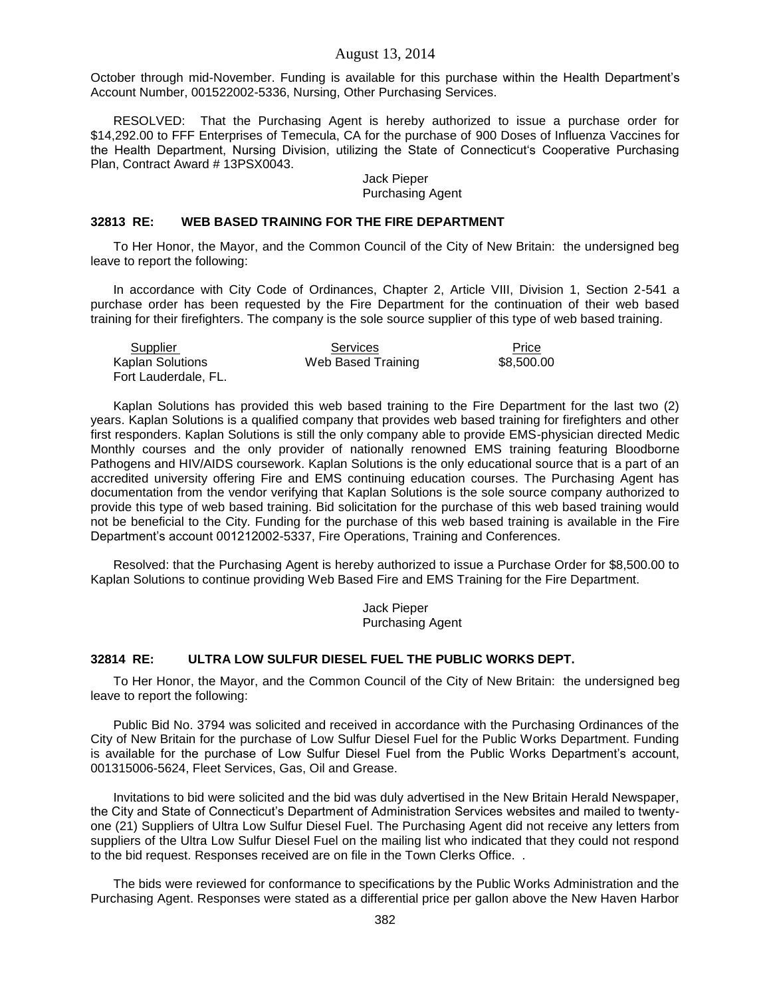October through mid-November. Funding is available for this purchase within the Health Department's Account Number, 001522002-5336, Nursing, Other Purchasing Services.

RESOLVED: That the Purchasing Agent is hereby authorized to issue a purchase order for \$14,292.00 to FFF Enterprises of Temecula, CA for the purchase of 900 Doses of Influenza Vaccines for the Health Department, Nursing Division, utilizing the State of Connecticut's Cooperative Purchasing Plan, Contract Award # 13PSX0043.

#### Jack Pieper Purchasing Agent

## **32813 RE: WEB BASED TRAINING FOR THE FIRE DEPARTMENT**

To Her Honor, the Mayor, and the Common Council of the City of New Britain: the undersigned beg leave to report the following:

In accordance with City Code of Ordinances, Chapter 2, Article VIII, Division 1, Section 2-541 a purchase order has been requested by the Fire Department for the continuation of their web based training for their firefighters. The company is the sole source supplier of this type of web based training.

| Supplier             | Services           | Price      |
|----------------------|--------------------|------------|
| Kaplan Solutions     | Web Based Training | \$8.500.00 |
| Fort Lauderdale, FL. |                    |            |

Kaplan Solutions has provided this web based training to the Fire Department for the last two (2) years. Kaplan Solutions is a qualified company that provides web based training for firefighters and other first responders. Kaplan Solutions is still the only company able to provide EMS-physician directed Medic Monthly courses and the only provider of nationally renowned EMS training featuring Bloodborne Pathogens and HIV/AIDS coursework. Kaplan Solutions is the only educational source that is a part of an accredited university offering Fire and EMS continuing education courses. The Purchasing Agent has documentation from the vendor verifying that Kaplan Solutions is the sole source company authorized to provide this type of web based training. Bid solicitation for the purchase of this web based training would not be beneficial to the City. Funding for the purchase of this web based training is available in the Fire Department's account 001212002-5337, Fire Operations, Training and Conferences.

Resolved: that the Purchasing Agent is hereby authorized to issue a Purchase Order for \$8,500.00 to Kaplan Solutions to continue providing Web Based Fire and EMS Training for the Fire Department.

> Jack Pieper Purchasing Agent

## **32814 RE: ULTRA LOW SULFUR DIESEL FUEL THE PUBLIC WORKS DEPT.**

To Her Honor, the Mayor, and the Common Council of the City of New Britain: the undersigned beg leave to report the following:

Public Bid No. 3794 was solicited and received in accordance with the Purchasing Ordinances of the City of New Britain for the purchase of Low Sulfur Diesel Fuel for the Public Works Department. Funding is available for the purchase of Low Sulfur Diesel Fuel from the Public Works Department's account, 001315006-5624, Fleet Services, Gas, Oil and Grease.

Invitations to bid were solicited and the bid was duly advertised in the New Britain Herald Newspaper, the City and State of Connecticut's Department of Administration Services websites and mailed to twentyone (21) Suppliers of Ultra Low Sulfur Diesel Fuel. The Purchasing Agent did not receive any letters from suppliers of the Ultra Low Sulfur Diesel Fuel on the mailing list who indicated that they could not respond to the bid request. Responses received are on file in the Town Clerks Office. .

The bids were reviewed for conformance to specifications by the Public Works Administration and the Purchasing Agent. Responses were stated as a differential price per gallon above the New Haven Harbor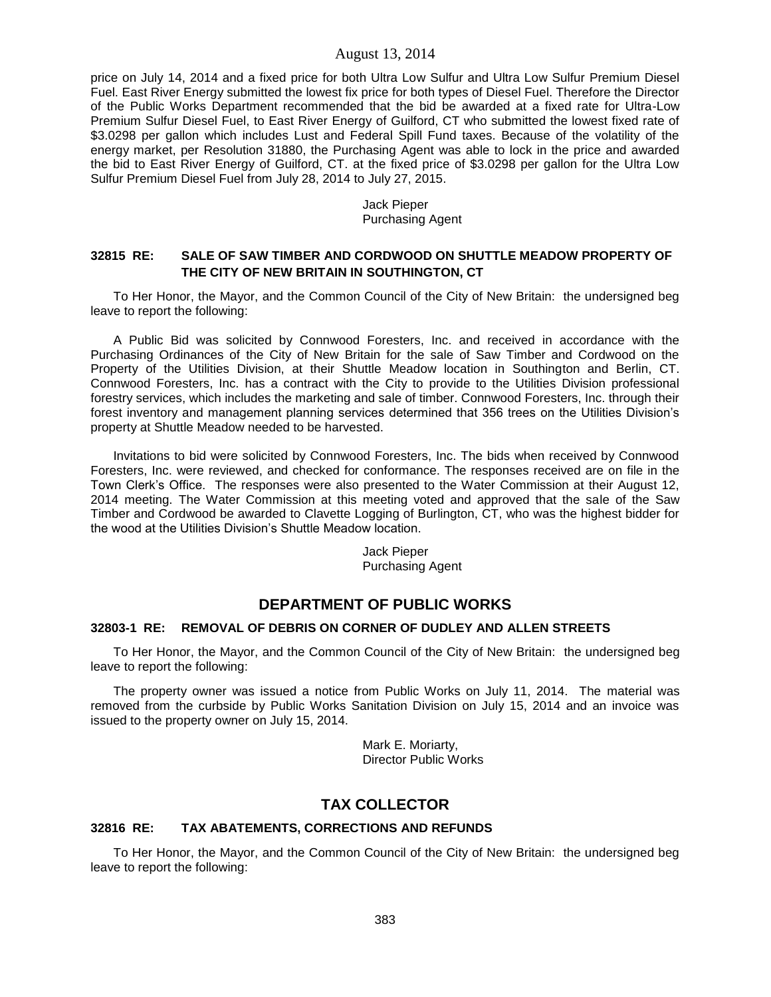price on July 14, 2014 and a fixed price for both Ultra Low Sulfur and Ultra Low Sulfur Premium Diesel Fuel. East River Energy submitted the lowest fix price for both types of Diesel Fuel. Therefore the Director of the Public Works Department recommended that the bid be awarded at a fixed rate for Ultra-Low Premium Sulfur Diesel Fuel, to East River Energy of Guilford, CT who submitted the lowest fixed rate of \$3.0298 per gallon which includes Lust and Federal Spill Fund taxes. Because of the volatility of the energy market, per Resolution 31880, the Purchasing Agent was able to lock in the price and awarded the bid to East River Energy of Guilford, CT. at the fixed price of \$3.0298 per gallon for the Ultra Low Sulfur Premium Diesel Fuel from July 28, 2014 to July 27, 2015.

## Jack Pieper Purchasing Agent

# **32815 RE: SALE OF SAW TIMBER AND CORDWOOD ON SHUTTLE MEADOW PROPERTY OF THE CITY OF NEW BRITAIN IN SOUTHINGTON, CT**

To Her Honor, the Mayor, and the Common Council of the City of New Britain: the undersigned beg leave to report the following:

A Public Bid was solicited by Connwood Foresters, Inc. and received in accordance with the Purchasing Ordinances of the City of New Britain for the sale of Saw Timber and Cordwood on the Property of the Utilities Division, at their Shuttle Meadow location in Southington and Berlin, CT. Connwood Foresters, Inc. has a contract with the City to provide to the Utilities Division professional forestry services, which includes the marketing and sale of timber. Connwood Foresters, Inc. through their forest inventory and management planning services determined that 356 trees on the Utilities Division's property at Shuttle Meadow needed to be harvested.

Invitations to bid were solicited by Connwood Foresters, Inc. The bids when received by Connwood Foresters, Inc. were reviewed, and checked for conformance. The responses received are on file in the Town Clerk's Office. The responses were also presented to the Water Commission at their August 12, 2014 meeting. The Water Commission at this meeting voted and approved that the sale of the Saw Timber and Cordwood be awarded to Clavette Logging of Burlington, CT, who was the highest bidder for the wood at the Utilities Division's Shuttle Meadow location.

> Jack Pieper Purchasing Agent

# **DEPARTMENT OF PUBLIC WORKS**

#### **32803-1 RE: REMOVAL OF DEBRIS ON CORNER OF DUDLEY AND ALLEN STREETS**

To Her Honor, the Mayor, and the Common Council of the City of New Britain: the undersigned beg leave to report the following:

The property owner was issued a notice from Public Works on July 11, 2014. The material was removed from the curbside by Public Works Sanitation Division on July 15, 2014 and an invoice was issued to the property owner on July 15, 2014.

> Mark E. Moriarty, Director Public Works

# **TAX COLLECTOR**

## **32816 RE: TAX ABATEMENTS, CORRECTIONS AND REFUNDS**

To Her Honor, the Mayor, and the Common Council of the City of New Britain: the undersigned beg leave to report the following: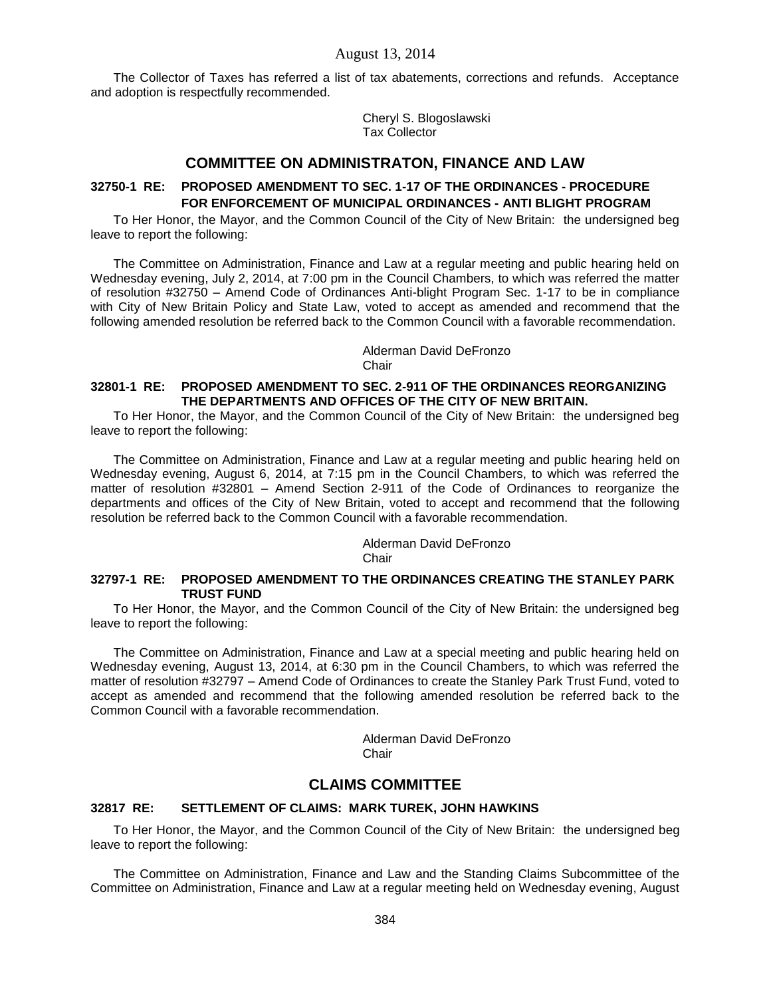The Collector of Taxes has referred a list of tax abatements, corrections and refunds. Acceptance and adoption is respectfully recommended.

> Cheryl S. Blogoslawski Tax Collector

# **COMMITTEE ON ADMINISTRATON, FINANCE AND LAW**

# **32750-1 RE: PROPOSED AMENDMENT TO SEC. 1-17 OF THE ORDINANCES - PROCEDURE FOR ENFORCEMENT OF MUNICIPAL ORDINANCES - ANTI BLIGHT PROGRAM**

To Her Honor, the Mayor, and the Common Council of the City of New Britain: the undersigned beg leave to report the following:

The Committee on Administration, Finance and Law at a regular meeting and public hearing held on Wednesday evening, July 2, 2014, at 7:00 pm in the Council Chambers, to which was referred the matter of resolution #32750 – Amend Code of Ordinances Anti-blight Program Sec. 1-17 to be in compliance with City of New Britain Policy and State Law, voted to accept as amended and recommend that the following amended resolution be referred back to the Common Council with a favorable recommendation.

> Alderman David DeFronzo Chair

# **32801-1 RE: PROPOSED AMENDMENT TO SEC. 2-911 OF THE ORDINANCES REORGANIZING THE DEPARTMENTS AND OFFICES OF THE CITY OF NEW BRITAIN.**

To Her Honor, the Mayor, and the Common Council of the City of New Britain: the undersigned beg leave to report the following:

The Committee on Administration, Finance and Law at a regular meeting and public hearing held on Wednesday evening, August 6, 2014, at 7:15 pm in the Council Chambers, to which was referred the matter of resolution #32801 – Amend Section 2-911 of the Code of Ordinances to reorganize the departments and offices of the City of New Britain, voted to accept and recommend that the following resolution be referred back to the Common Council with a favorable recommendation.

> Alderman David DeFronzo **Chair**

### **32797-1 RE: PROPOSED AMENDMENT TO THE ORDINANCES CREATING THE STANLEY PARK TRUST FUND**

To Her Honor, the Mayor, and the Common Council of the City of New Britain: the undersigned beg leave to report the following:

The Committee on Administration, Finance and Law at a special meeting and public hearing held on Wednesday evening, August 13, 2014, at 6:30 pm in the Council Chambers, to which was referred the matter of resolution #32797 – Amend Code of Ordinances to create the Stanley Park Trust Fund, voted to accept as amended and recommend that the following amended resolution be referred back to the Common Council with a favorable recommendation.

> Alderman David DeFronzo **Chair**

# **CLAIMS COMMITTEE**

#### **32817 RE: SETTLEMENT OF CLAIMS: MARK TUREK, JOHN HAWKINS**

To Her Honor, the Mayor, and the Common Council of the City of New Britain: the undersigned beg leave to report the following:

The Committee on Administration, Finance and Law and the Standing Claims Subcommittee of the Committee on Administration, Finance and Law at a regular meeting held on Wednesday evening, August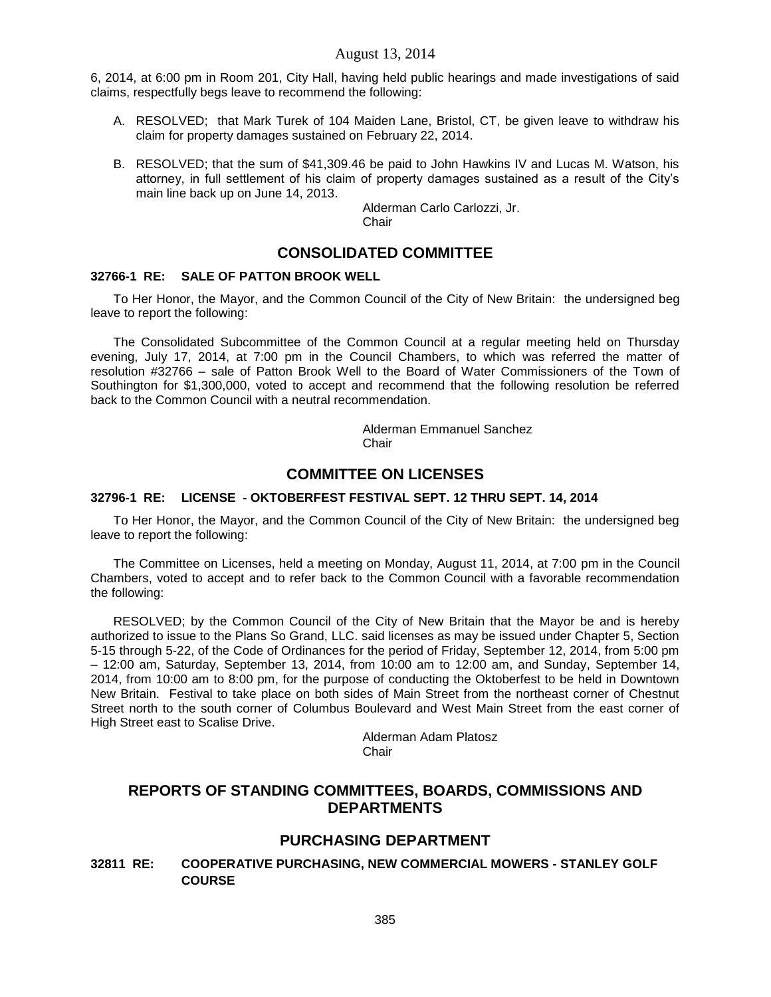6, 2014, at 6:00 pm in Room 201, City Hall, having held public hearings and made investigations of said claims, respectfully begs leave to recommend the following:

- A. RESOLVED; that Mark Turek of 104 Maiden Lane, Bristol, CT, be given leave to withdraw his claim for property damages sustained on February 22, 2014.
- B. RESOLVED; that the sum of \$41,309.46 be paid to John Hawkins IV and Lucas M. Watson, his attorney, in full settlement of his claim of property damages sustained as a result of the City's main line back up on June 14, 2013.

Alderman Carlo Carlozzi, Jr. **Chair** 

# **CONSOLIDATED COMMITTEE**

# **32766-1 RE: SALE OF PATTON BROOK WELL**

To Her Honor, the Mayor, and the Common Council of the City of New Britain: the undersigned beg leave to report the following:

The Consolidated Subcommittee of the Common Council at a regular meeting held on Thursday evening, July 17, 2014, at 7:00 pm in the Council Chambers, to which was referred the matter of resolution #32766 – sale of Patton Brook Well to the Board of Water Commissioners of the Town of Southington for \$1,300,000, voted to accept and recommend that the following resolution be referred back to the Common Council with a neutral recommendation.

> Alderman Emmanuel Sanchez Chair

# **COMMITTEE ON LICENSES**

# **32796-1 RE: LICENSE - OKTOBERFEST FESTIVAL SEPT. 12 THRU SEPT. 14, 2014**

To Her Honor, the Mayor, and the Common Council of the City of New Britain: the undersigned beg leave to report the following:

The Committee on Licenses, held a meeting on Monday, August 11, 2014, at 7:00 pm in the Council Chambers, voted to accept and to refer back to the Common Council with a favorable recommendation the following:

RESOLVED; by the Common Council of the City of New Britain that the Mayor be and is hereby authorized to issue to the Plans So Grand, LLC. said licenses as may be issued under Chapter 5, Section 5-15 through 5-22, of the Code of Ordinances for the period of Friday, September 12, 2014, from 5:00 pm – 12:00 am, Saturday, September 13, 2014, from 10:00 am to 12:00 am, and Sunday, September 14, 2014, from 10:00 am to 8:00 pm, for the purpose of conducting the Oktoberfest to be held in Downtown New Britain. Festival to take place on both sides of Main Street from the northeast corner of Chestnut Street north to the south corner of Columbus Boulevard and West Main Street from the east corner of High Street east to Scalise Drive.

> Alderman Adam Platosz Chair

# **REPORTS OF STANDING COMMITTEES, BOARDS, COMMISSIONS AND DEPARTMENTS**

# **PURCHASING DEPARTMENT**

**32811 RE: COOPERATIVE PURCHASING, NEW COMMERCIAL MOWERS - STANLEY GOLF COURSE**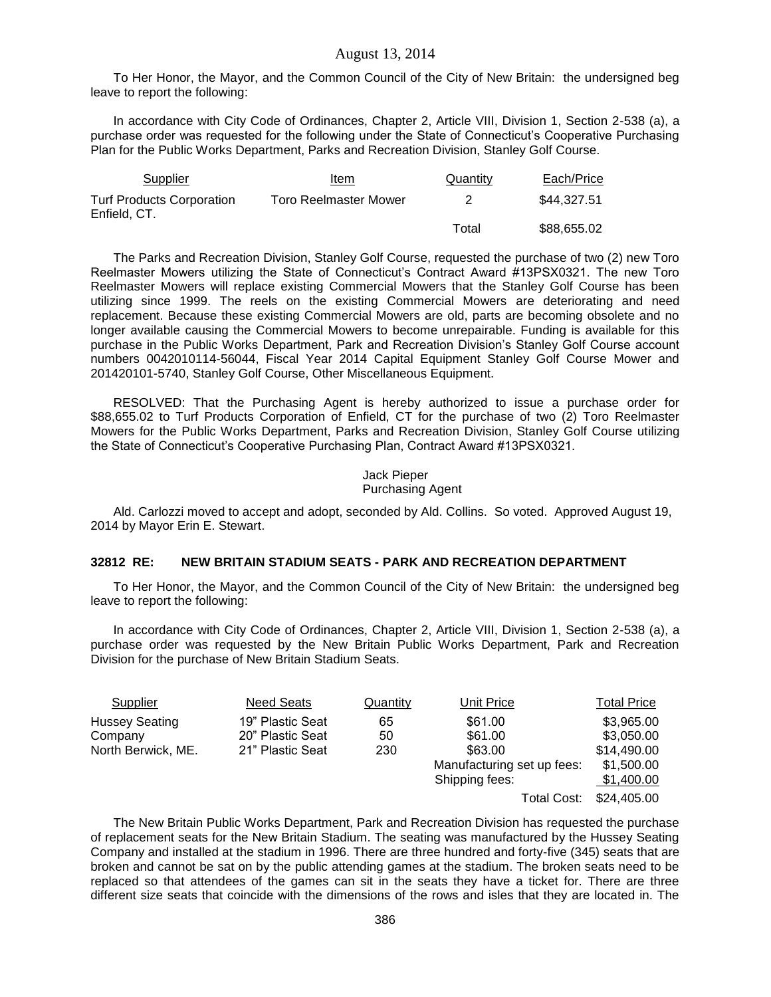To Her Honor, the Mayor, and the Common Council of the City of New Britain: the undersigned beg leave to report the following:

In accordance with City Code of Ordinances, Chapter 2, Article VIII, Division 1, Section 2-538 (a), a purchase order was requested for the following under the State of Connecticut's Cooperative Purchasing Plan for the Public Works Department, Parks and Recreation Division, Stanley Golf Course.

| Supplier                                         | Item                         | Quantity | Each/Price  |
|--------------------------------------------------|------------------------------|----------|-------------|
| <b>Turf Products Corporation</b><br>Enfield, CT. | <b>Toro Reelmaster Mower</b> |          | \$44,327.51 |
|                                                  |                              | Total    | \$88,655.02 |

The Parks and Recreation Division, Stanley Golf Course, requested the purchase of two (2) new Toro Reelmaster Mowers utilizing the State of Connecticut's Contract Award #13PSX0321. The new Toro Reelmaster Mowers will replace existing Commercial Mowers that the Stanley Golf Course has been utilizing since 1999. The reels on the existing Commercial Mowers are deteriorating and need replacement. Because these existing Commercial Mowers are old, parts are becoming obsolete and no longer available causing the Commercial Mowers to become unrepairable. Funding is available for this purchase in the Public Works Department, Park and Recreation Division's Stanley Golf Course account numbers 0042010114-56044, Fiscal Year 2014 Capital Equipment Stanley Golf Course Mower and 201420101-5740, Stanley Golf Course, Other Miscellaneous Equipment.

RESOLVED: That the Purchasing Agent is hereby authorized to issue a purchase order for \$88,655.02 to Turf Products Corporation of Enfield, CT for the purchase of two (2) Toro Reelmaster Mowers for the Public Works Department, Parks and Recreation Division, Stanley Golf Course utilizing the State of Connecticut's Cooperative Purchasing Plan, Contract Award #13PSX0321.

#### Jack Pieper Purchasing Agent

Ald. Carlozzi moved to accept and adopt, seconded by Ald. Collins. So voted. Approved August 19, 2014 by Mayor Erin E. Stewart.

#### **32812 RE: NEW BRITAIN STADIUM SEATS - PARK AND RECREATION DEPARTMENT**

To Her Honor, the Mayor, and the Common Council of the City of New Britain: the undersigned beg leave to report the following:

In accordance with City Code of Ordinances, Chapter 2, Article VIII, Division 1, Section 2-538 (a), a purchase order was requested by the New Britain Public Works Department, Park and Recreation Division for the purchase of New Britain Stadium Seats.

| Supplier              | Need Seats       | Quantity | Unit Price                 | <b>Total Price</b> |
|-----------------------|------------------|----------|----------------------------|--------------------|
| <b>Hussey Seating</b> | 19" Plastic Seat | 65       | \$61.00                    | \$3,965.00         |
| Company               | 20" Plastic Seat | 50       | \$61.00                    | \$3,050.00         |
| North Berwick, ME.    | 21" Plastic Seat | 230      | \$63.00                    | \$14,490,00        |
|                       |                  |          | Manufacturing set up fees: | \$1,500.00         |
|                       |                  |          | Shipping fees:             | \$1,400.00         |
|                       |                  |          | Total Cost:                | \$24,405.00        |

The New Britain Public Works Department, Park and Recreation Division has requested the purchase of replacement seats for the New Britain Stadium. The seating was manufactured by the Hussey Seating Company and installed at the stadium in 1996. There are three hundred and forty-five (345) seats that are broken and cannot be sat on by the public attending games at the stadium. The broken seats need to be replaced so that attendees of the games can sit in the seats they have a ticket for. There are three different size seats that coincide with the dimensions of the rows and isles that they are located in. The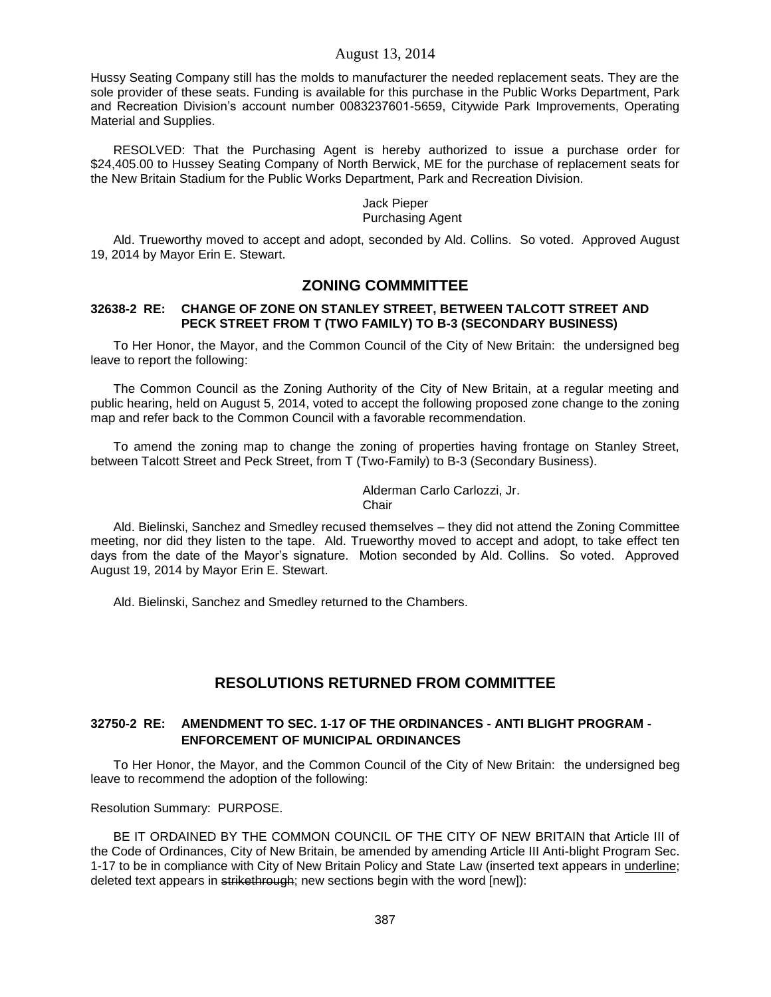Hussy Seating Company still has the molds to manufacturer the needed replacement seats. They are the sole provider of these seats. Funding is available for this purchase in the Public Works Department, Park and Recreation Division's account number 0083237601-5659, Citywide Park Improvements, Operating Material and Supplies.

RESOLVED: That the Purchasing Agent is hereby authorized to issue a purchase order for \$24,405.00 to Hussey Seating Company of North Berwick, ME for the purchase of replacement seats for the New Britain Stadium for the Public Works Department, Park and Recreation Division.

#### Jack Pieper Purchasing Agent

Ald. Trueworthy moved to accept and adopt, seconded by Ald. Collins. So voted. Approved August 19, 2014 by Mayor Erin E. Stewart.

# **ZONING COMMMITTEE**

### **32638-2 RE: CHANGE OF ZONE ON STANLEY STREET, BETWEEN TALCOTT STREET AND PECK STREET FROM T (TWO FAMILY) TO B-3 (SECONDARY BUSINESS)**

To Her Honor, the Mayor, and the Common Council of the City of New Britain: the undersigned beg leave to report the following:

The Common Council as the Zoning Authority of the City of New Britain, at a regular meeting and public hearing, held on August 5, 2014, voted to accept the following proposed zone change to the zoning map and refer back to the Common Council with a favorable recommendation.

To amend the zoning map to change the zoning of properties having frontage on Stanley Street, between Talcott Street and Peck Street, from T (Two-Family) to B-3 (Secondary Business).

> Alderman Carlo Carlozzi, Jr. **Chair**

Ald. Bielinski, Sanchez and Smedley recused themselves – they did not attend the Zoning Committee meeting, nor did they listen to the tape. Ald. Trueworthy moved to accept and adopt, to take effect ten days from the date of the Mayor's signature. Motion seconded by Ald. Collins. So voted. Approved August 19, 2014 by Mayor Erin E. Stewart.

Ald. Bielinski, Sanchez and Smedley returned to the Chambers.

# **RESOLUTIONS RETURNED FROM COMMITTEE**

# **32750-2 RE: AMENDMENT TO SEC. 1-17 OF THE ORDINANCES - ANTI BLIGHT PROGRAM - ENFORCEMENT OF MUNICIPAL ORDINANCES**

To Her Honor, the Mayor, and the Common Council of the City of New Britain: the undersigned beg leave to recommend the adoption of the following:

Resolution Summary: PURPOSE.

BE IT ORDAINED BY THE COMMON COUNCIL OF THE CITY OF NEW BRITAIN that Article III of the Code of Ordinances, City of New Britain, be amended by amending Article III Anti-blight Program Sec. 1-17 to be in compliance with City of New Britain Policy and State Law (inserted text appears in underline; deleted text appears in strikethrough; new sections begin with the word [new]):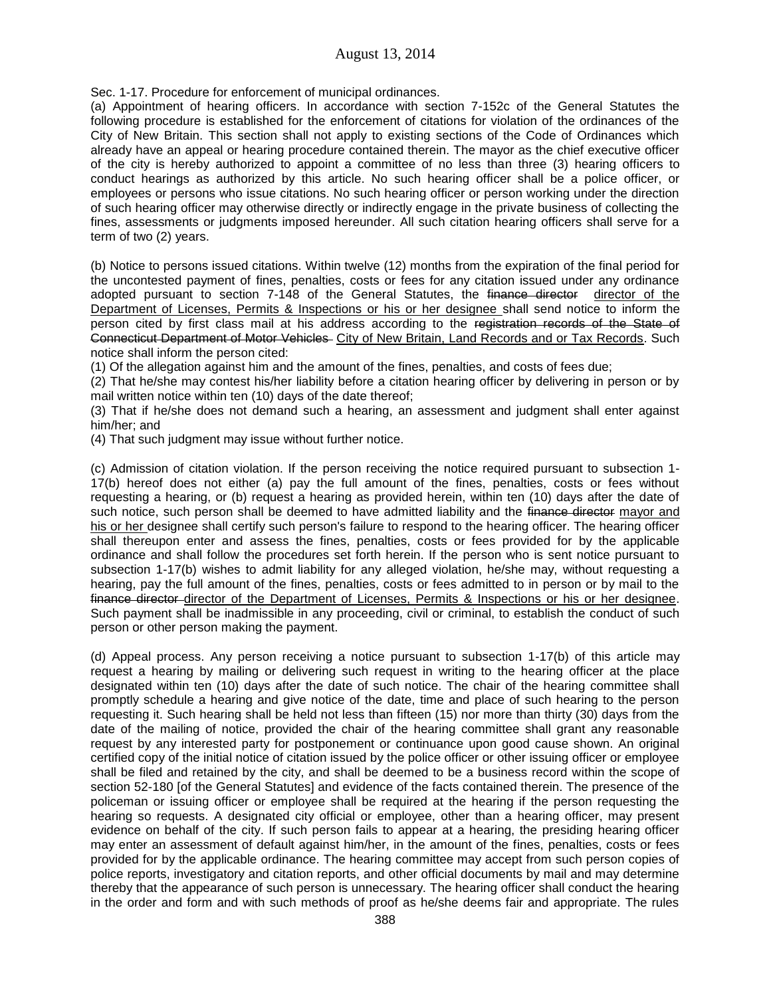Sec. 1-17. Procedure for enforcement of municipal ordinances.

(a) Appointment of hearing officers. In accordance with section 7-152c of the General Statutes the following procedure is established for the enforcement of citations for violation of the ordinances of the City of New Britain. This section shall not apply to existing sections of the Code of Ordinances which already have an appeal or hearing procedure contained therein. The mayor as the chief executive officer of the city is hereby authorized to appoint a committee of no less than three (3) hearing officers to conduct hearings as authorized by this article. No such hearing officer shall be a police officer, or employees or persons who issue citations. No such hearing officer or person working under the direction of such hearing officer may otherwise directly or indirectly engage in the private business of collecting the fines, assessments or judgments imposed hereunder. All such citation hearing officers shall serve for a term of two (2) years.

(b) Notice to persons issued citations. Within twelve (12) months from the expiration of the final period for the uncontested payment of fines, penalties, costs or fees for any citation issued under any ordinance adopted pursuant to section 7-148 of the General Statutes, the finance director director of the Department of Licenses, Permits & Inspections or his or her designee shall send notice to inform the person cited by first class mail at his address according to the registration records of the State of Connecticut Department of Motor Vehicles City of New Britain, Land Records and or Tax Records. Such notice shall inform the person cited:

(1) Of the allegation against him and the amount of the fines, penalties, and costs of fees due;

(2) That he/she may contest his/her liability before a citation hearing officer by delivering in person or by mail written notice within ten (10) days of the date thereof;

(3) That if he/she does not demand such a hearing, an assessment and judgment shall enter against him/her; and

(4) That such judgment may issue without further notice.

(c) Admission of citation violation. If the person receiving the notice required pursuant to subsection 1- 17(b) hereof does not either (a) pay the full amount of the fines, penalties, costs or fees without requesting a hearing, or (b) request a hearing as provided herein, within ten (10) days after the date of such notice, such person shall be deemed to have admitted liability and the finance director mayor and his or her designee shall certify such person's failure to respond to the hearing officer. The hearing officer shall thereupon enter and assess the fines, penalties, costs or fees provided for by the applicable ordinance and shall follow the procedures set forth herein. If the person who is sent notice pursuant to subsection 1-17(b) wishes to admit liability for any alleged violation, he/she may, without requesting a hearing, pay the full amount of the fines, penalties, costs or fees admitted to in person or by mail to the finance director director of the Department of Licenses, Permits & Inspections or his or her designee. Such payment shall be inadmissible in any proceeding, civil or criminal, to establish the conduct of such person or other person making the payment.

(d) Appeal process. Any person receiving a notice pursuant to subsection 1-17(b) of this article may request a hearing by mailing or delivering such request in writing to the hearing officer at the place designated within ten (10) days after the date of such notice. The chair of the hearing committee shall promptly schedule a hearing and give notice of the date, time and place of such hearing to the person requesting it. Such hearing shall be held not less than fifteen (15) nor more than thirty (30) days from the date of the mailing of notice, provided the chair of the hearing committee shall grant any reasonable request by any interested party for postponement or continuance upon good cause shown. An original certified copy of the initial notice of citation issued by the police officer or other issuing officer or employee shall be filed and retained by the city, and shall be deemed to be a business record within the scope of section 52-180 [of the General Statutes] and evidence of the facts contained therein. The presence of the policeman or issuing officer or employee shall be required at the hearing if the person requesting the hearing so requests. A designated city official or employee, other than a hearing officer, may present evidence on behalf of the city. If such person fails to appear at a hearing, the presiding hearing officer may enter an assessment of default against him/her, in the amount of the fines, penalties, costs or fees provided for by the applicable ordinance. The hearing committee may accept from such person copies of police reports, investigatory and citation reports, and other official documents by mail and may determine thereby that the appearance of such person is unnecessary. The hearing officer shall conduct the hearing in the order and form and with such methods of proof as he/she deems fair and appropriate. The rules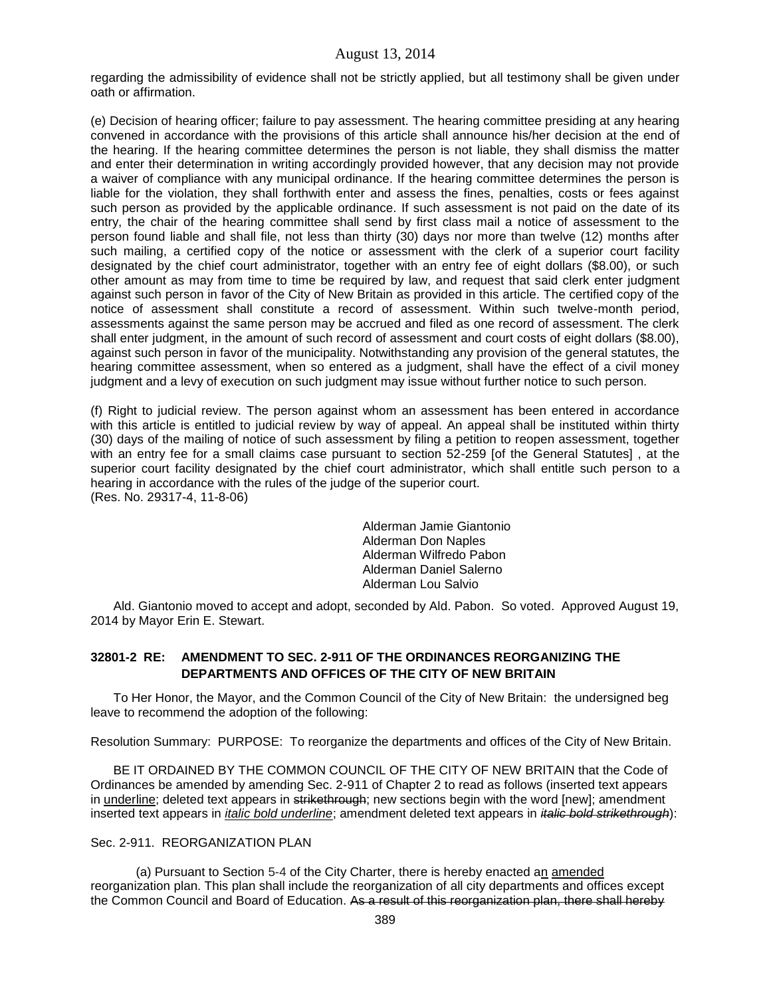regarding the admissibility of evidence shall not be strictly applied, but all testimony shall be given under oath or affirmation.

(e) Decision of hearing officer; failure to pay assessment. The hearing committee presiding at any hearing convened in accordance with the provisions of this article shall announce his/her decision at the end of the hearing. If the hearing committee determines the person is not liable, they shall dismiss the matter and enter their determination in writing accordingly provided however, that any decision may not provide a waiver of compliance with any municipal ordinance. If the hearing committee determines the person is liable for the violation, they shall forthwith enter and assess the fines, penalties, costs or fees against such person as provided by the applicable ordinance. If such assessment is not paid on the date of its entry, the chair of the hearing committee shall send by first class mail a notice of assessment to the person found liable and shall file, not less than thirty (30) days nor more than twelve (12) months after such mailing, a certified copy of the notice or assessment with the clerk of a superior court facility designated by the chief court administrator, together with an entry fee of eight dollars (\$8.00), or such other amount as may from time to time be required by law, and request that said clerk enter judgment against such person in favor of the City of New Britain as provided in this article. The certified copy of the notice of assessment shall constitute a record of assessment. Within such twelve-month period, assessments against the same person may be accrued and filed as one record of assessment. The clerk shall enter judgment, in the amount of such record of assessment and court costs of eight dollars (\$8.00), against such person in favor of the municipality. Notwithstanding any provision of the general statutes, the hearing committee assessment, when so entered as a judgment, shall have the effect of a civil money judgment and a levy of execution on such judgment may issue without further notice to such person.

(f) Right to judicial review. The person against whom an assessment has been entered in accordance with this article is entitled to judicial review by way of appeal. An appeal shall be instituted within thirty (30) days of the mailing of notice of such assessment by filing a petition to reopen assessment, together with an entry fee for a small claims case pursuant to section 52-259 [of the General Statutes] , at the superior court facility designated by the chief court administrator, which shall entitle such person to a hearing in accordance with the rules of the judge of the superior court. (Res. No. 29317-4, 11-8-06)

> Alderman Jamie Giantonio Alderman Don Naples Alderman Wilfredo Pabon Alderman Daniel Salerno Alderman Lou Salvio

Ald. Giantonio moved to accept and adopt, seconded by Ald. Pabon. So voted. Approved August 19, 2014 by Mayor Erin E. Stewart.

# **32801-2 RE: AMENDMENT TO SEC. 2-911 OF THE ORDINANCES REORGANIZING THE DEPARTMENTS AND OFFICES OF THE CITY OF NEW BRITAIN**

To Her Honor, the Mayor, and the Common Council of the City of New Britain: the undersigned beg leave to recommend the adoption of the following:

Resolution Summary: PURPOSE: To reorganize the departments and offices of the City of New Britain.

BE IT ORDAINED BY THE COMMON COUNCIL OF THE CITY OF NEW BRITAIN that the Code of Ordinances be amended by amending Sec. 2-911 of Chapter 2 to read as follows (inserted text appears in underline; deleted text appears in strikethrough; new sections begin with the word [new]; amendment inserted text appears in *italic bold underline*; amendment deleted text appears in *italic bold strikethrough*):

#### Sec. 2-911. REORGANIZATION PLAN

(a) Pursuant to Section 5-4 of the City Charter, there is hereby enacted an amended reorganization plan. This plan shall include the reorganization of all city departments and offices except the Common Council and Board of Education. As a result of this reorganization plan, there shall hereby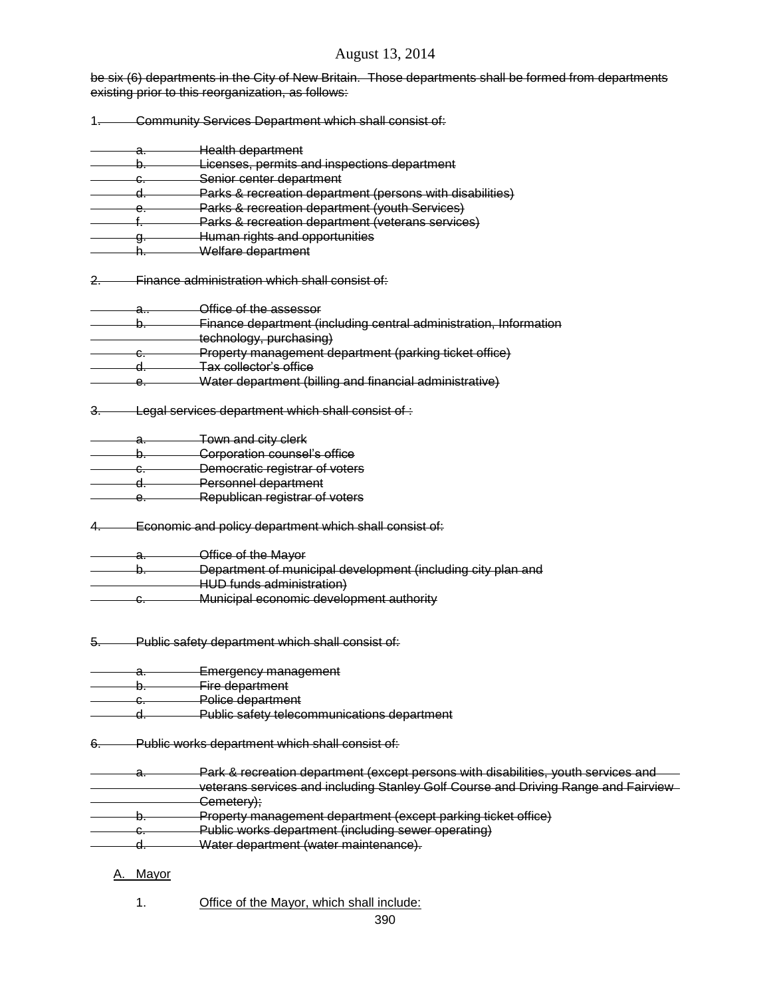be six (6) departments in the City of New Britain. Those departments shall be formed from departments existing prior to this reorganization, as follows:

- 1. Community Services Department which shall consist of:
- a. Health department b. Licenses, permits and inspections department c. Senior center department d. Parks & recreation department (persons with disabilities) e. Parks & recreation department (youth Services) **Parks & recreation department (veterans services)**
- g. Human rights and opportunities
- h. Welfare department

2. Finance administration which shall consist of:

- a.. Office of the assessor
- b. Finance department (including central administration, Information
- technology, purchasing)
- c. Property management department (parking ticket office)
- d. Tax collector's office
- e. Water department (billing and financial administrative)
- 3. Legal services department which shall consist of :
- a. Town and city clerk
- b. Corporation counsel's office
- c. Democratic registrar of voters
- d. Personnel department
- e. Republican registrar of voters
- 4. Economic and policy department which shall consist of:
- a. Office of the Mayor
- b. Department of municipal development (including city plan and HUD funds administration)
- c. Municipal economic development authority
- 5. Public safety department which shall consist of:
- Emergency management
- b. Fire department
- c. Police department
- d. Public safety telecommunications department
- 6. Public works department which shall consist of:
- a. Park & recreation department (except persons with disabilities, youth services and veterans services and including Stanley Golf Course and Driving Range and Fairview Cemetery);
- b. Property management department (except parking ticket office)
- c. Public works department (including sewer operating)
- d. Water department (water maintenance).

## A. Mayor

1. Office of the Mayor, which shall include: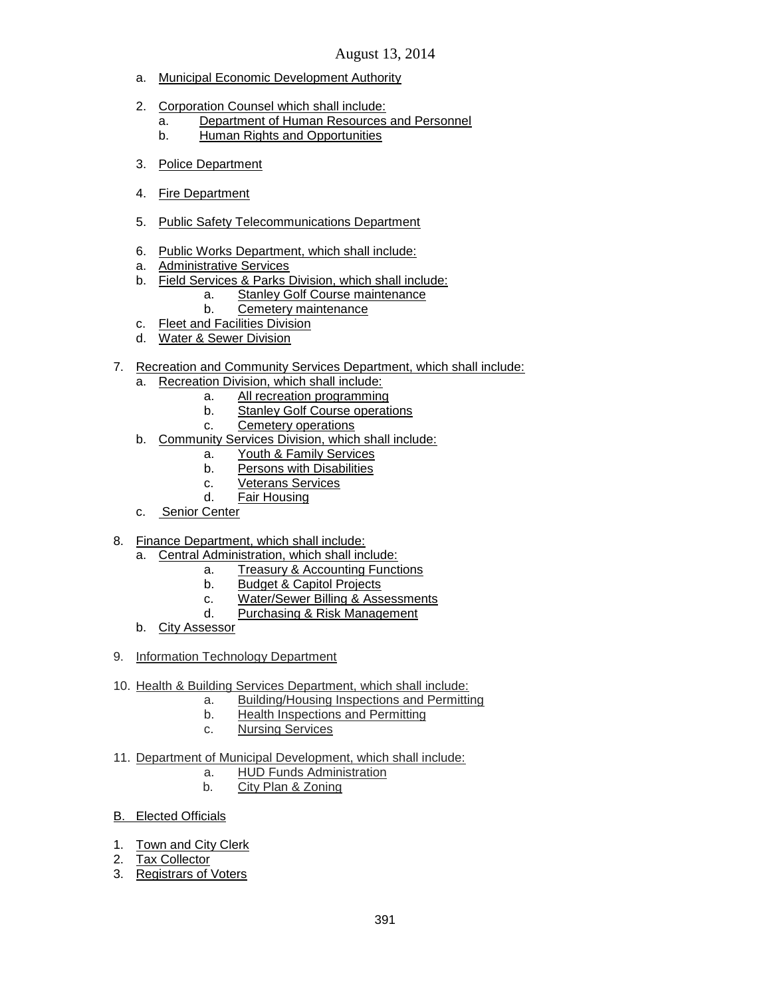- a. Municipal Economic Development Authority
- 2. Corporation Counsel which shall include:
	- a. Department of Human Resources and Personnel
	- b. Human Rights and Opportunities
- 3. Police Department
- 4. Fire Department
- 5. Public Safety Telecommunications Department
- 6. Public Works Department, which shall include:
- a. Administrative Services
- b. Field Services & Parks Division, which shall include:
	- a. Stanley Golf Course maintenance
	- b. Cemetery maintenance
- c. Fleet and Facilities Division
- d. Water & Sewer Division
- 7. Recreation and Community Services Department, which shall include:
	- a. Recreation Division, which shall include:
		- a. All recreation programming
		- b. Stanley Golf Course operations
		- c. Cemetery operations
	- b. Community Services Division, which shall include:
		- a. Youth & Family Services
		- b. Persons with Disabilities
		- c. Veterans Services
		- d. Fair Housing
	- c. Senior Center
- 8. Finance Department, which shall include:
	- a. Central Administration, which shall include:
		- a. Treasury & Accounting Functions
		- b. Budget & Capitol Projects
		- c. Water/Sewer Billing & Assessments
		- d. Purchasing & Risk Management
	- b. City Assessor
- 9. Information Technology Department
- 10. Health & Building Services Department, which shall include:
	- a. Building/Housing Inspections and Permitting
		- b. Health Inspections and Permitting
		- c. Nursing Services
- 11. Department of Municipal Development, which shall include:
	- a. HUD Funds Administration
	- b. City Plan & Zoning
- B. Elected Officials
- 1. Town and City Clerk
- 2. Tax Collector
- 3. Registrars of Voters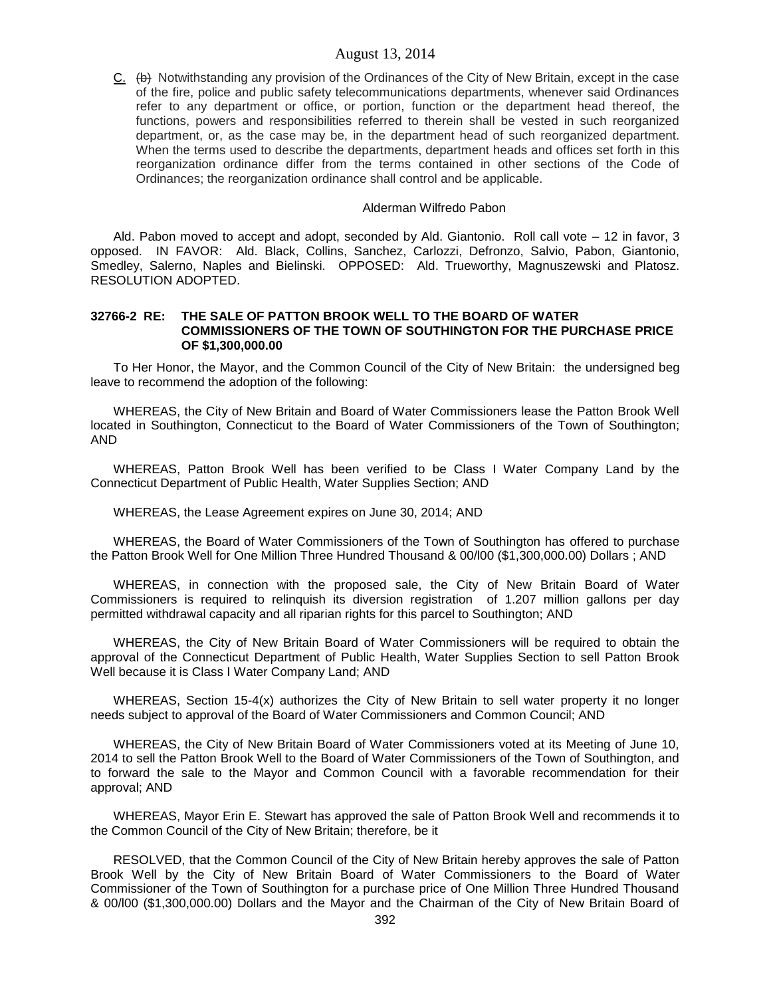C. (b) Notwithstanding any provision of the Ordinances of the City of New Britain, except in the case of the fire, police and public safety telecommunications departments, whenever said Ordinances refer to any department or office, or portion, function or the department head thereof, the functions, powers and responsibilities referred to therein shall be vested in such reorganized department, or, as the case may be, in the department head of such reorganized department. When the terms used to describe the departments, department heads and offices set forth in this reorganization ordinance differ from the terms contained in other sections of the Code of Ordinances; the reorganization ordinance shall control and be applicable.

## Alderman Wilfredo Pabon

Ald. Pabon moved to accept and adopt, seconded by Ald. Giantonio. Roll call vote – 12 in favor, 3 opposed. IN FAVOR: Ald. Black, Collins, Sanchez, Carlozzi, Defronzo, Salvio, Pabon, Giantonio, Smedley, Salerno, Naples and Bielinski. OPPOSED: Ald. Trueworthy, Magnuszewski and Platosz. RESOLUTION ADOPTED.

#### **32766-2 RE: THE SALE OF PATTON BROOK WELL TO THE BOARD OF WATER COMMISSIONERS OF THE TOWN OF SOUTHINGTON FOR THE PURCHASE PRICE OF \$1,300,000.00**

To Her Honor, the Mayor, and the Common Council of the City of New Britain: the undersigned beg leave to recommend the adoption of the following:

WHEREAS, the City of New Britain and Board of Water Commissioners lease the Patton Brook Well located in Southington, Connecticut to the Board of Water Commissioners of the Town of Southington; AND

WHEREAS, Patton Brook Well has been verified to be Class I Water Company Land by the Connecticut Department of Public Health, Water Supplies Section; AND

WHEREAS, the Lease Agreement expires on June 30, 2014; AND

WHEREAS, the Board of Water Commissioners of the Town of Southington has offered to purchase the Patton Brook Well for One Million Three Hundred Thousand & 00/l00 (\$1,300,000.00) Dollars ; AND

WHEREAS, in connection with the proposed sale, the City of New Britain Board of Water Commissioners is required to relinquish its diversion registration of 1.207 million gallons per day permitted withdrawal capacity and all riparian rights for this parcel to Southington; AND

WHEREAS, the City of New Britain Board of Water Commissioners will be required to obtain the approval of the Connecticut Department of Public Health, Water Supplies Section to sell Patton Brook Well because it is Class I Water Company Land; AND

WHEREAS, Section 15-4(x) authorizes the City of New Britain to sell water property it no longer needs subject to approval of the Board of Water Commissioners and Common Council; AND

WHEREAS, the City of New Britain Board of Water Commissioners voted at its Meeting of June 10, 2014 to sell the Patton Brook Well to the Board of Water Commissioners of the Town of Southington, and to forward the sale to the Mayor and Common Council with a favorable recommendation for their approval; AND

WHEREAS, Mayor Erin E. Stewart has approved the sale of Patton Brook Well and recommends it to the Common Council of the City of New Britain; therefore, be it

RESOLVED, that the Common Council of the City of New Britain hereby approves the sale of Patton Brook Well by the City of New Britain Board of Water Commissioners to the Board of Water Commissioner of the Town of Southington for a purchase price of One Million Three Hundred Thousand & 00/l00 (\$1,300,000.00) Dollars and the Mayor and the Chairman of the City of New Britain Board of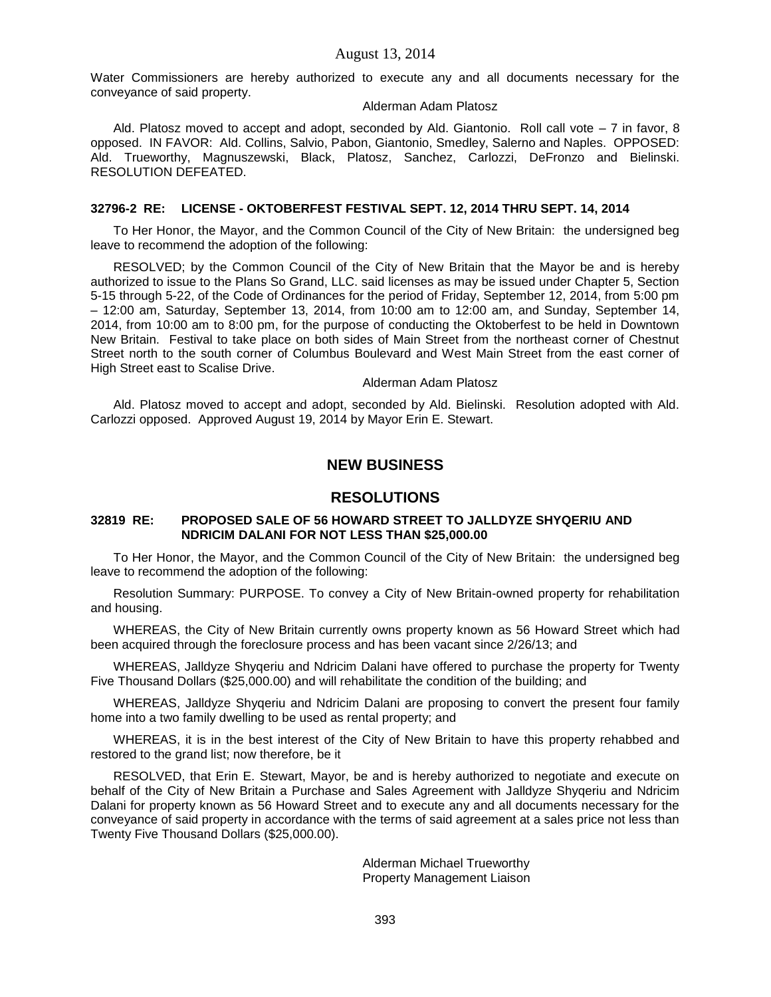Water Commissioners are hereby authorized to execute any and all documents necessary for the conveyance of said property.

#### Alderman Adam Platosz

Ald. Platosz moved to accept and adopt, seconded by Ald. Giantonio. Roll call vote – 7 in favor, 8 opposed. IN FAVOR: Ald. Collins, Salvio, Pabon, Giantonio, Smedley, Salerno and Naples. OPPOSED: Ald. Trueworthy, Magnuszewski, Black, Platosz, Sanchez, Carlozzi, DeFronzo and Bielinski. RESOLUTION DEFEATED.

# **32796-2 RE: LICENSE - OKTOBERFEST FESTIVAL SEPT. 12, 2014 THRU SEPT. 14, 2014**

To Her Honor, the Mayor, and the Common Council of the City of New Britain: the undersigned beg leave to recommend the adoption of the following:

RESOLVED; by the Common Council of the City of New Britain that the Mayor be and is hereby authorized to issue to the Plans So Grand, LLC. said licenses as may be issued under Chapter 5, Section 5-15 through 5-22, of the Code of Ordinances for the period of Friday, September 12, 2014, from 5:00 pm – 12:00 am, Saturday, September 13, 2014, from 10:00 am to 12:00 am, and Sunday, September 14, 2014, from 10:00 am to 8:00 pm, for the purpose of conducting the Oktoberfest to be held in Downtown New Britain. Festival to take place on both sides of Main Street from the northeast corner of Chestnut Street north to the south corner of Columbus Boulevard and West Main Street from the east corner of High Street east to Scalise Drive.

#### Alderman Adam Platosz

Ald. Platosz moved to accept and adopt, seconded by Ald. Bielinski. Resolution adopted with Ald. Carlozzi opposed. Approved August 19, 2014 by Mayor Erin E. Stewart.

# **NEW BUSINESS**

# **RESOLUTIONS**

## **32819 RE: PROPOSED SALE OF 56 HOWARD STREET TO JALLDYZE SHYQERIU AND NDRICIM DALANI FOR NOT LESS THAN \$25,000.00**

To Her Honor, the Mayor, and the Common Council of the City of New Britain: the undersigned beg leave to recommend the adoption of the following:

Resolution Summary: PURPOSE. To convey a City of New Britain-owned property for rehabilitation and housing.

WHEREAS, the City of New Britain currently owns property known as 56 Howard Street which had been acquired through the foreclosure process and has been vacant since 2/26/13; and

WHEREAS, Jalldyze Shyqeriu and Ndricim Dalani have offered to purchase the property for Twenty Five Thousand Dollars (\$25,000.00) and will rehabilitate the condition of the building; and

WHEREAS, Jalldyze Shyqeriu and Ndricim Dalani are proposing to convert the present four family home into a two family dwelling to be used as rental property; and

WHEREAS, it is in the best interest of the City of New Britain to have this property rehabbed and restored to the grand list; now therefore, be it

RESOLVED, that Erin E. Stewart, Mayor, be and is hereby authorized to negotiate and execute on behalf of the City of New Britain a Purchase and Sales Agreement with Jalldyze Shyqeriu and Ndricim Dalani for property known as 56 Howard Street and to execute any and all documents necessary for the conveyance of said property in accordance with the terms of said agreement at a sales price not less than Twenty Five Thousand Dollars (\$25,000.00).

> Alderman Michael Trueworthy Property Management Liaison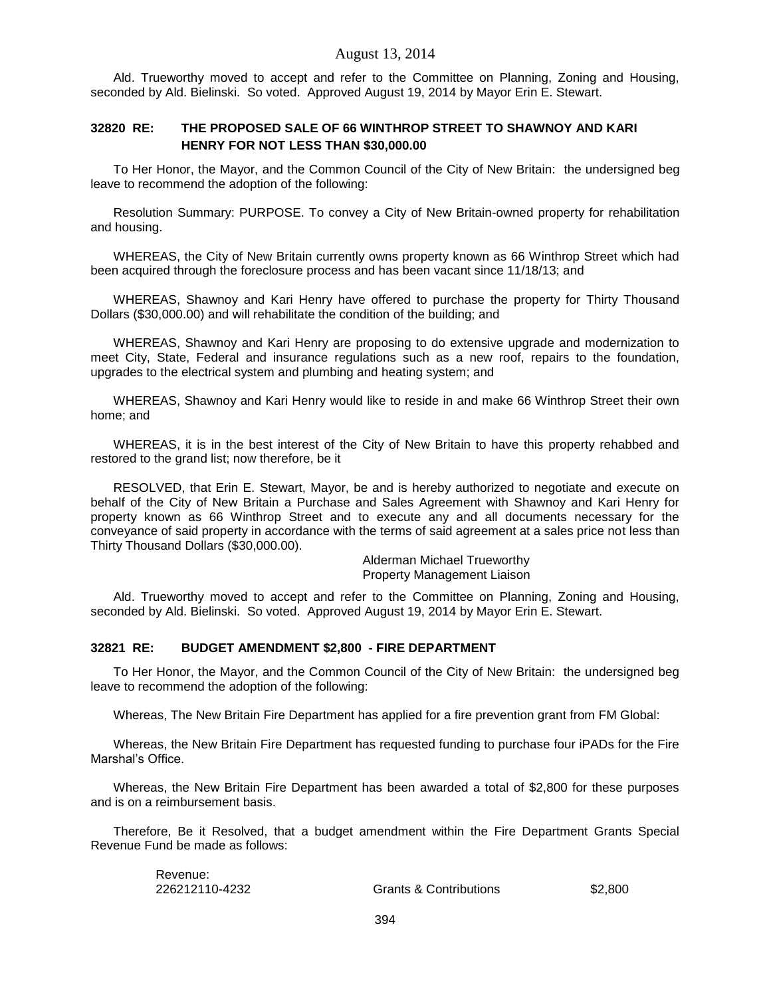Ald. Trueworthy moved to accept and refer to the Committee on Planning, Zoning and Housing, seconded by Ald. Bielinski. So voted. Approved August 19, 2014 by Mayor Erin E. Stewart.

## **32820 RE: THE PROPOSED SALE OF 66 WINTHROP STREET TO SHAWNOY AND KARI HENRY FOR NOT LESS THAN \$30,000.00**

To Her Honor, the Mayor, and the Common Council of the City of New Britain: the undersigned beg leave to recommend the adoption of the following:

Resolution Summary: PURPOSE. To convey a City of New Britain-owned property for rehabilitation and housing.

WHEREAS, the City of New Britain currently owns property known as 66 Winthrop Street which had been acquired through the foreclosure process and has been vacant since 11/18/13; and

WHEREAS, Shawnoy and Kari Henry have offered to purchase the property for Thirty Thousand Dollars (\$30,000.00) and will rehabilitate the condition of the building; and

WHEREAS, Shawnoy and Kari Henry are proposing to do extensive upgrade and modernization to meet City, State, Federal and insurance regulations such as a new roof, repairs to the foundation, upgrades to the electrical system and plumbing and heating system; and

WHEREAS, Shawnoy and Kari Henry would like to reside in and make 66 Winthrop Street their own home; and

WHEREAS, it is in the best interest of the City of New Britain to have this property rehabbed and restored to the grand list; now therefore, be it

RESOLVED, that Erin E. Stewart, Mayor, be and is hereby authorized to negotiate and execute on behalf of the City of New Britain a Purchase and Sales Agreement with Shawnoy and Kari Henry for property known as 66 Winthrop Street and to execute any and all documents necessary for the conveyance of said property in accordance with the terms of said agreement at a sales price not less than Thirty Thousand Dollars (\$30,000.00).

> Alderman Michael Trueworthy Property Management Liaison

Ald. Trueworthy moved to accept and refer to the Committee on Planning, Zoning and Housing, seconded by Ald. Bielinski. So voted. Approved August 19, 2014 by Mayor Erin E. Stewart.

#### **32821 RE: BUDGET AMENDMENT \$2,800 - FIRE DEPARTMENT**

To Her Honor, the Mayor, and the Common Council of the City of New Britain: the undersigned beg leave to recommend the adoption of the following:

Whereas, The New Britain Fire Department has applied for a fire prevention grant from FM Global:

Whereas, the New Britain Fire Department has requested funding to purchase four iPADs for the Fire Marshal's Office.

Whereas, the New Britain Fire Department has been awarded a total of \$2,800 for these purposes and is on a reimbursement basis.

Therefore, Be it Resolved, that a budget amendment within the Fire Department Grants Special Revenue Fund be made as follows:

| Revenue:       |                                   |         |
|----------------|-----------------------------------|---------|
| 226212110-4232 | <b>Grants &amp; Contributions</b> | \$2,800 |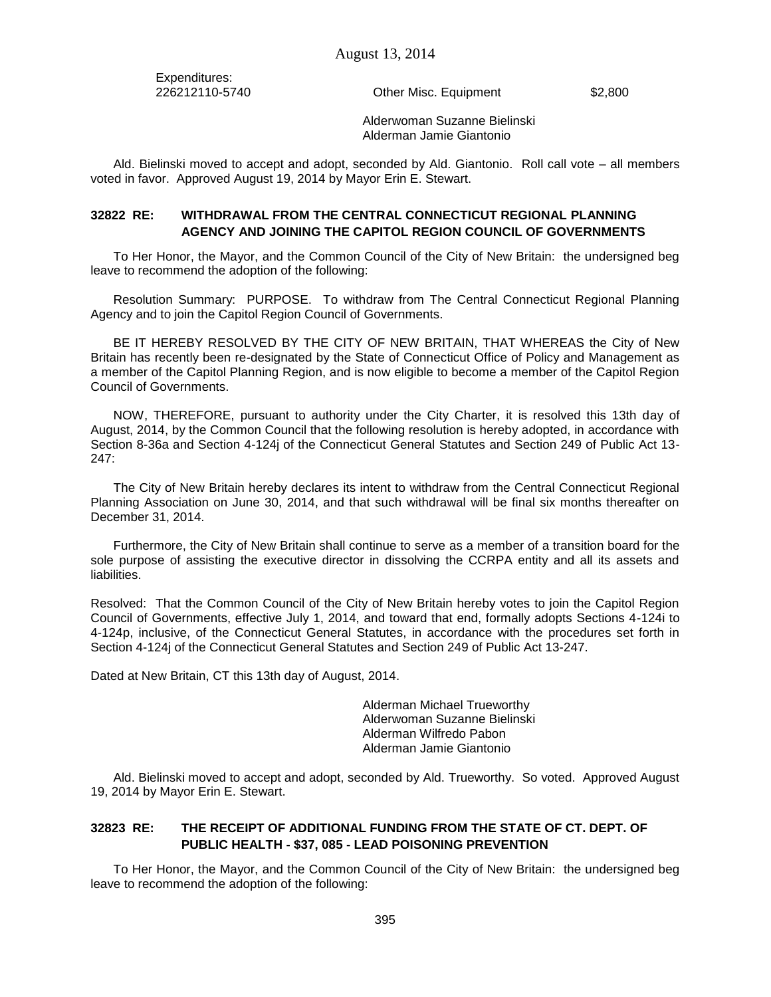Expenditures:

226212110-5740 Other Misc. Equipment \$2,800

Alderwoman Suzanne Bielinski Alderman Jamie Giantonio

Ald. Bielinski moved to accept and adopt, seconded by Ald. Giantonio. Roll call vote – all members voted in favor. Approved August 19, 2014 by Mayor Erin E. Stewart.

# **32822 RE: WITHDRAWAL FROM THE CENTRAL CONNECTICUT REGIONAL PLANNING AGENCY AND JOINING THE CAPITOL REGION COUNCIL OF GOVERNMENTS**

To Her Honor, the Mayor, and the Common Council of the City of New Britain: the undersigned beg leave to recommend the adoption of the following:

Resolution Summary: PURPOSE. To withdraw from The Central Connecticut Regional Planning Agency and to join the Capitol Region Council of Governments.

BE IT HEREBY RESOLVED BY THE CITY OF NEW BRITAIN, THAT WHEREAS the City of New Britain has recently been re-designated by the State of Connecticut Office of Policy and Management as a member of the Capitol Planning Region, and is now eligible to become a member of the Capitol Region Council of Governments.

NOW, THEREFORE, pursuant to authority under the City Charter, it is resolved this 13th day of August, 2014, by the Common Council that the following resolution is hereby adopted, in accordance with Section 8-36a and Section 4-124j of the Connecticut General Statutes and Section 249 of Public Act 13- 247:

The City of New Britain hereby declares its intent to withdraw from the Central Connecticut Regional Planning Association on June 30, 2014, and that such withdrawal will be final six months thereafter on December 31, 2014.

Furthermore, the City of New Britain shall continue to serve as a member of a transition board for the sole purpose of assisting the executive director in dissolving the CCRPA entity and all its assets and liabilities.

Resolved: That the Common Council of the City of New Britain hereby votes to join the Capitol Region Council of Governments, effective July 1, 2014, and toward that end, formally adopts Sections 4-124i to 4-124p, inclusive, of the Connecticut General Statutes, in accordance with the procedures set forth in Section 4-124j of the Connecticut General Statutes and Section 249 of Public Act 13-247.

Dated at New Britain, CT this 13th day of August, 2014.

Alderman Michael Trueworthy Alderwoman Suzanne Bielinski Alderman Wilfredo Pabon Alderman Jamie Giantonio

Ald. Bielinski moved to accept and adopt, seconded by Ald. Trueworthy. So voted. Approved August 19, 2014 by Mayor Erin E. Stewart.

# **32823 RE: THE RECEIPT OF ADDITIONAL FUNDING FROM THE STATE OF CT. DEPT. OF PUBLIC HEALTH - \$37, 085 - LEAD POISONING PREVENTION**

To Her Honor, the Mayor, and the Common Council of the City of New Britain: the undersigned beg leave to recommend the adoption of the following: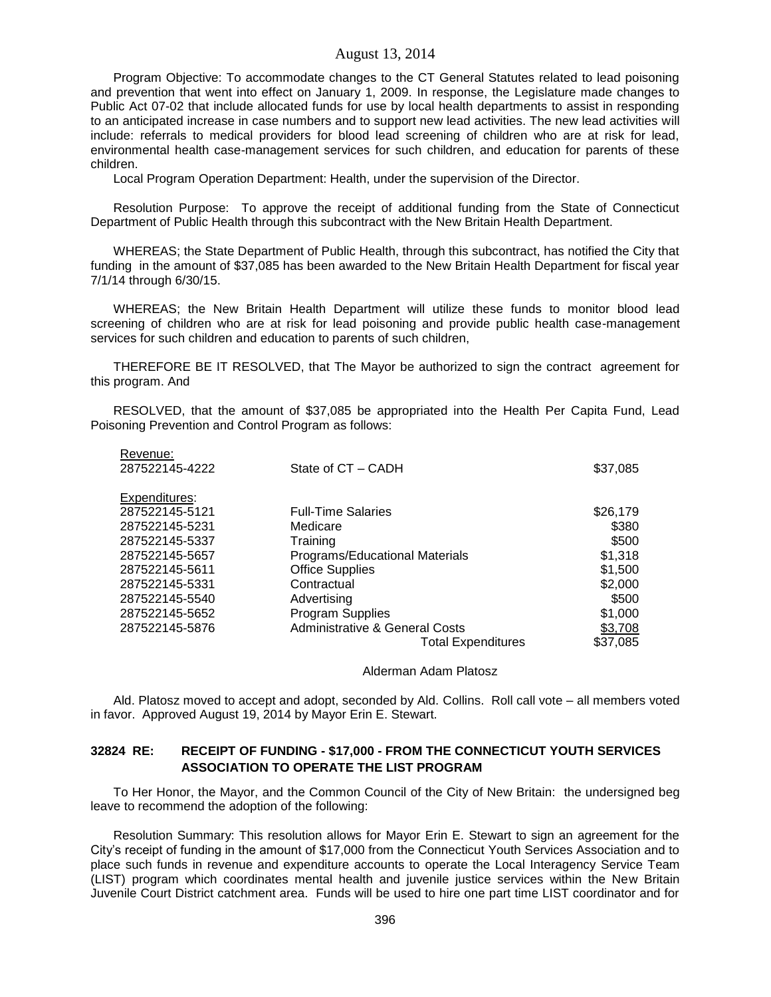Program Objective: To accommodate changes to the CT General Statutes related to lead poisoning and prevention that went into effect on January 1, 2009. In response, the Legislature made changes to Public Act 07-02 that include allocated funds for use by local health departments to assist in responding to an anticipated increase in case numbers and to support new lead activities. The new lead activities will include: referrals to medical providers for blood lead screening of children who are at risk for lead, environmental health case-management services for such children, and education for parents of these children.

Local Program Operation Department: Health, under the supervision of the Director.

Resolution Purpose: To approve the receipt of additional funding from the State of Connecticut Department of Public Health through this subcontract with the New Britain Health Department.

WHEREAS; the State Department of Public Health, through this subcontract, has notified the City that funding in the amount of \$37,085 has been awarded to the New Britain Health Department for fiscal year 7/1/14 through 6/30/15.

WHEREAS; the New Britain Health Department will utilize these funds to monitor blood lead screening of children who are at risk for lead poisoning and provide public health case-management services for such children and education to parents of such children,

THEREFORE BE IT RESOLVED, that The Mayor be authorized to sign the contract agreement for this program. And

RESOLVED, that the amount of \$37,085 be appropriated into the Health Per Capita Fund, Lead Poisoning Prevention and Control Program as follows:

| Revenue:       |                                           |          |
|----------------|-------------------------------------------|----------|
| 287522145-4222 | State of CT - CADH                        | \$37,085 |
| Expenditures:  |                                           |          |
| 287522145-5121 | <b>Full-Time Salaries</b>                 | \$26,179 |
| 287522145-5231 | Medicare                                  | \$380    |
| 287522145-5337 | Training                                  | \$500    |
| 287522145-5657 | Programs/Educational Materials            | \$1,318  |
| 287522145-5611 | <b>Office Supplies</b>                    | \$1,500  |
| 287522145-5331 | Contractual                               | \$2,000  |
| 287522145-5540 | Advertising                               | \$500    |
| 287522145-5652 | <b>Program Supplies</b>                   | \$1,000  |
| 287522145-5876 | <b>Administrative &amp; General Costs</b> | \$3,708  |
|                | <b>Total Expenditures</b>                 | \$37,085 |

Alderman Adam Platosz

Ald. Platosz moved to accept and adopt, seconded by Ald. Collins. Roll call vote – all members voted in favor. Approved August 19, 2014 by Mayor Erin E. Stewart.

# **32824 RE: RECEIPT OF FUNDING - \$17,000 - FROM THE CONNECTICUT YOUTH SERVICES ASSOCIATION TO OPERATE THE LIST PROGRAM**

To Her Honor, the Mayor, and the Common Council of the City of New Britain: the undersigned beg leave to recommend the adoption of the following:

Resolution Summary: This resolution allows for Mayor Erin E. Stewart to sign an agreement for the City's receipt of funding in the amount of \$17,000 from the Connecticut Youth Services Association and to place such funds in revenue and expenditure accounts to operate the Local Interagency Service Team (LIST) program which coordinates mental health and juvenile justice services within the New Britain Juvenile Court District catchment area. Funds will be used to hire one part time LIST coordinator and for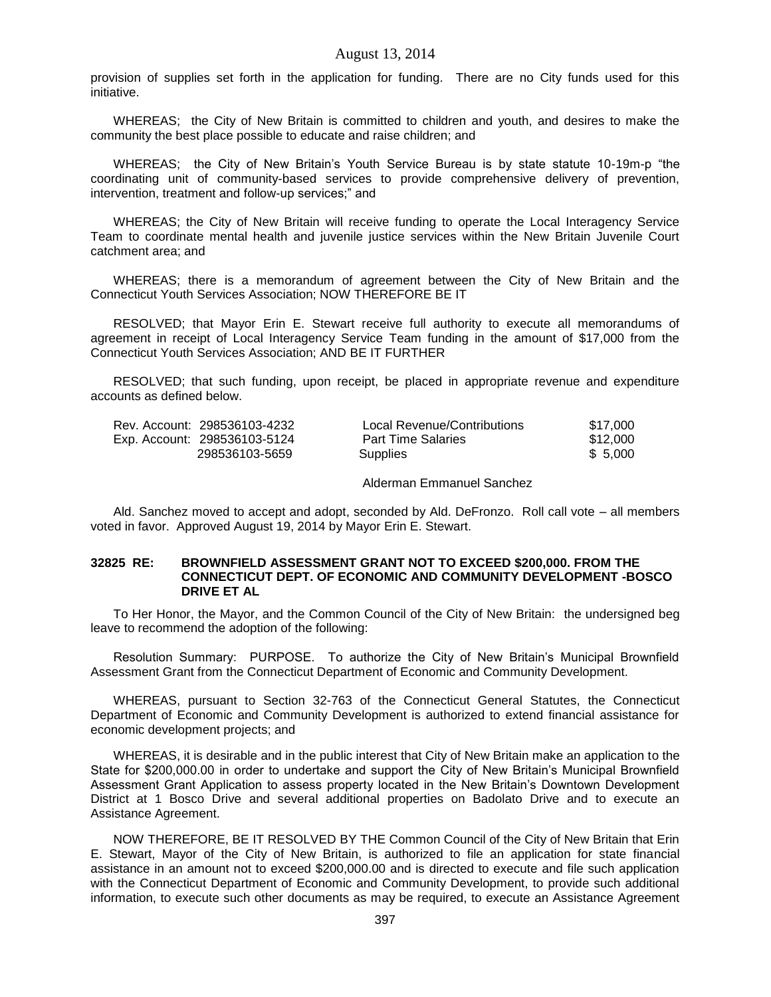provision of supplies set forth in the application for funding. There are no City funds used for this initiative.

WHEREAS; the City of New Britain is committed to children and youth, and desires to make the community the best place possible to educate and raise children; and

WHEREAS; the City of New Britain's Youth Service Bureau is by state statute 10-19m-p "the coordinating unit of community-based services to provide comprehensive delivery of prevention, intervention, treatment and follow-up services;" and

WHEREAS; the City of New Britain will receive funding to operate the Local Interagency Service Team to coordinate mental health and juvenile justice services within the New Britain Juvenile Court catchment area; and

WHEREAS; there is a memorandum of agreement between the City of New Britain and the Connecticut Youth Services Association; NOW THEREFORE BE IT

RESOLVED; that Mayor Erin E. Stewart receive full authority to execute all memorandums of agreement in receipt of Local Interagency Service Team funding in the amount of \$17,000 from the Connecticut Youth Services Association; AND BE IT FURTHER

RESOLVED; that such funding, upon receipt, be placed in appropriate revenue and expenditure accounts as defined below.

| Rev. Account: 298536103-4232 | Local Revenue/Contributions | \$17.000 |
|------------------------------|-----------------------------|----------|
| Exp. Account: 298536103-5124 | <b>Part Time Salaries</b>   | \$12.000 |
| 298536103-5659               | Supplies                    | \$ 5.000 |

Alderman Emmanuel Sanchez

Ald. Sanchez moved to accept and adopt, seconded by Ald. DeFronzo. Roll call vote – all members voted in favor. Approved August 19, 2014 by Mayor Erin E. Stewart.

## **32825 RE: BROWNFIELD ASSESSMENT GRANT NOT TO EXCEED \$200,000. FROM THE CONNECTICUT DEPT. OF ECONOMIC AND COMMUNITY DEVELOPMENT -BOSCO DRIVE ET AL**

To Her Honor, the Mayor, and the Common Council of the City of New Britain: the undersigned beg leave to recommend the adoption of the following:

Resolution Summary: PURPOSE. To authorize the City of New Britain's Municipal Brownfield Assessment Grant from the Connecticut Department of Economic and Community Development.

WHEREAS, pursuant to Section 32-763 of the Connecticut General Statutes, the Connecticut Department of Economic and Community Development is authorized to extend financial assistance for economic development projects; and

WHEREAS, it is desirable and in the public interest that City of New Britain make an application to the State for \$200,000.00 in order to undertake and support the City of New Britain's Municipal Brownfield Assessment Grant Application to assess property located in the New Britain's Downtown Development District at 1 Bosco Drive and several additional properties on Badolato Drive and to execute an Assistance Agreement.

NOW THEREFORE, BE IT RESOLVED BY THE Common Council of the City of New Britain that Erin E. Stewart, Mayor of the City of New Britain, is authorized to file an application for state financial assistance in an amount not to exceed \$200,000.00 and is directed to execute and file such application with the Connecticut Department of Economic and Community Development, to provide such additional information, to execute such other documents as may be required, to execute an Assistance Agreement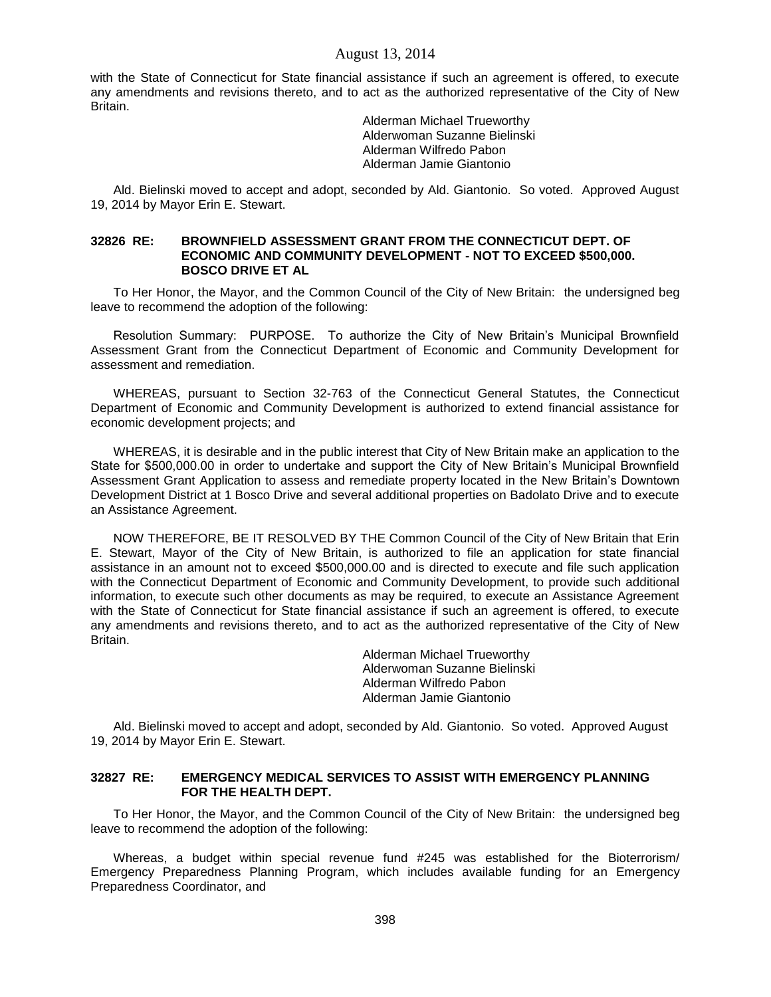with the State of Connecticut for State financial assistance if such an agreement is offered, to execute any amendments and revisions thereto, and to act as the authorized representative of the City of New Britain.

> Alderman Michael Trueworthy Alderwoman Suzanne Bielinski Alderman Wilfredo Pabon Alderman Jamie Giantonio

Ald. Bielinski moved to accept and adopt, seconded by Ald. Giantonio. So voted. Approved August 19, 2014 by Mayor Erin E. Stewart.

### **32826 RE: BROWNFIELD ASSESSMENT GRANT FROM THE CONNECTICUT DEPT. OF ECONOMIC AND COMMUNITY DEVELOPMENT - NOT TO EXCEED \$500,000. BOSCO DRIVE ET AL**

To Her Honor, the Mayor, and the Common Council of the City of New Britain: the undersigned beg leave to recommend the adoption of the following:

Resolution Summary: PURPOSE. To authorize the City of New Britain's Municipal Brownfield Assessment Grant from the Connecticut Department of Economic and Community Development for assessment and remediation.

WHEREAS, pursuant to Section 32-763 of the Connecticut General Statutes, the Connecticut Department of Economic and Community Development is authorized to extend financial assistance for economic development projects; and

WHEREAS, it is desirable and in the public interest that City of New Britain make an application to the State for \$500,000.00 in order to undertake and support the City of New Britain's Municipal Brownfield Assessment Grant Application to assess and remediate property located in the New Britain's Downtown Development District at 1 Bosco Drive and several additional properties on Badolato Drive and to execute an Assistance Agreement.

NOW THEREFORE, BE IT RESOLVED BY THE Common Council of the City of New Britain that Erin E. Stewart, Mayor of the City of New Britain, is authorized to file an application for state financial assistance in an amount not to exceed \$500,000.00 and is directed to execute and file such application with the Connecticut Department of Economic and Community Development, to provide such additional information, to execute such other documents as may be required, to execute an Assistance Agreement with the State of Connecticut for State financial assistance if such an agreement is offered, to execute any amendments and revisions thereto, and to act as the authorized representative of the City of New Britain.

> Alderman Michael Trueworthy Alderwoman Suzanne Bielinski Alderman Wilfredo Pabon Alderman Jamie Giantonio

Ald. Bielinski moved to accept and adopt, seconded by Ald. Giantonio. So voted. Approved August 19, 2014 by Mayor Erin E. Stewart.

### **32827 RE: EMERGENCY MEDICAL SERVICES TO ASSIST WITH EMERGENCY PLANNING FOR THE HEALTH DEPT.**

To Her Honor, the Mayor, and the Common Council of the City of New Britain: the undersigned beg leave to recommend the adoption of the following:

Whereas, a budget within special revenue fund #245 was established for the Bioterrorism/ Emergency Preparedness Planning Program, which includes available funding for an Emergency Preparedness Coordinator, and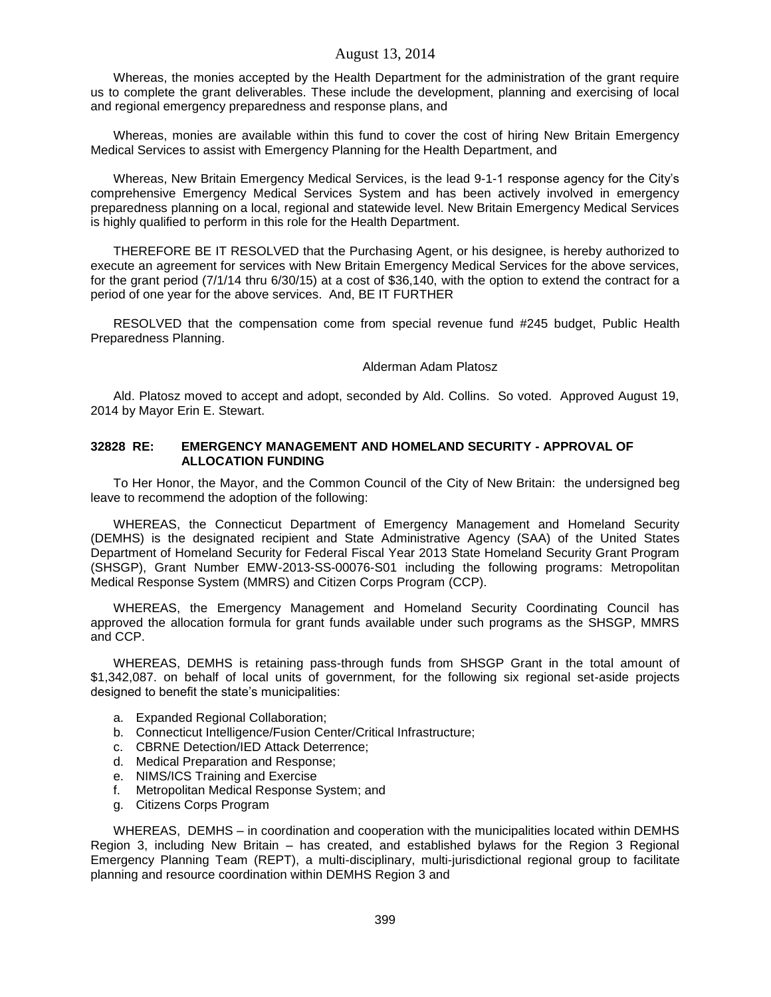Whereas, the monies accepted by the Health Department for the administration of the grant require us to complete the grant deliverables. These include the development, planning and exercising of local and regional emergency preparedness and response plans, and

Whereas, monies are available within this fund to cover the cost of hiring New Britain Emergency Medical Services to assist with Emergency Planning for the Health Department, and

Whereas, New Britain Emergency Medical Services, is the lead 9-1-1 response agency for the City's comprehensive Emergency Medical Services System and has been actively involved in emergency preparedness planning on a local, regional and statewide level. New Britain Emergency Medical Services is highly qualified to perform in this role for the Health Department.

THEREFORE BE IT RESOLVED that the Purchasing Agent, or his designee, is hereby authorized to execute an agreement for services with New Britain Emergency Medical Services for the above services, for the grant period (7/1/14 thru 6/30/15) at a cost of \$36,140, with the option to extend the contract for a period of one year for the above services. And, BE IT FURTHER

RESOLVED that the compensation come from special revenue fund #245 budget, Public Health Preparedness Planning.

#### Alderman Adam Platosz

Ald. Platosz moved to accept and adopt, seconded by Ald. Collins. So voted. Approved August 19, 2014 by Mayor Erin E. Stewart.

#### **32828 RE: EMERGENCY MANAGEMENT AND HOMELAND SECURITY - APPROVAL OF ALLOCATION FUNDING**

To Her Honor, the Mayor, and the Common Council of the City of New Britain: the undersigned beg leave to recommend the adoption of the following:

WHEREAS, the Connecticut Department of Emergency Management and Homeland Security (DEMHS) is the designated recipient and State Administrative Agency (SAA) of the United States Department of Homeland Security for Federal Fiscal Year 2013 State Homeland Security Grant Program (SHSGP), Grant Number EMW-2013-SS-00076-S01 including the following programs: Metropolitan Medical Response System (MMRS) and Citizen Corps Program (CCP).

WHEREAS, the Emergency Management and Homeland Security Coordinating Council has approved the allocation formula for grant funds available under such programs as the SHSGP, MMRS and CCP.

WHEREAS, DEMHS is retaining pass-through funds from SHSGP Grant in the total amount of \$1,342,087. on behalf of local units of government, for the following six regional set-aside projects designed to benefit the state's municipalities:

- a. Expanded Regional Collaboration;
- b. Connecticut Intelligence/Fusion Center/Critical Infrastructure;
- c. CBRNE Detection/IED Attack Deterrence;
- d. Medical Preparation and Response;
- e. NIMS/ICS Training and Exercise
- f. Metropolitan Medical Response System; and
- g. Citizens Corps Program

WHEREAS, DEMHS – in coordination and cooperation with the municipalities located within DEMHS Region 3, including New Britain – has created, and established bylaws for the Region 3 Regional Emergency Planning Team (REPT), a multi-disciplinary, multi-jurisdictional regional group to facilitate planning and resource coordination within DEMHS Region 3 and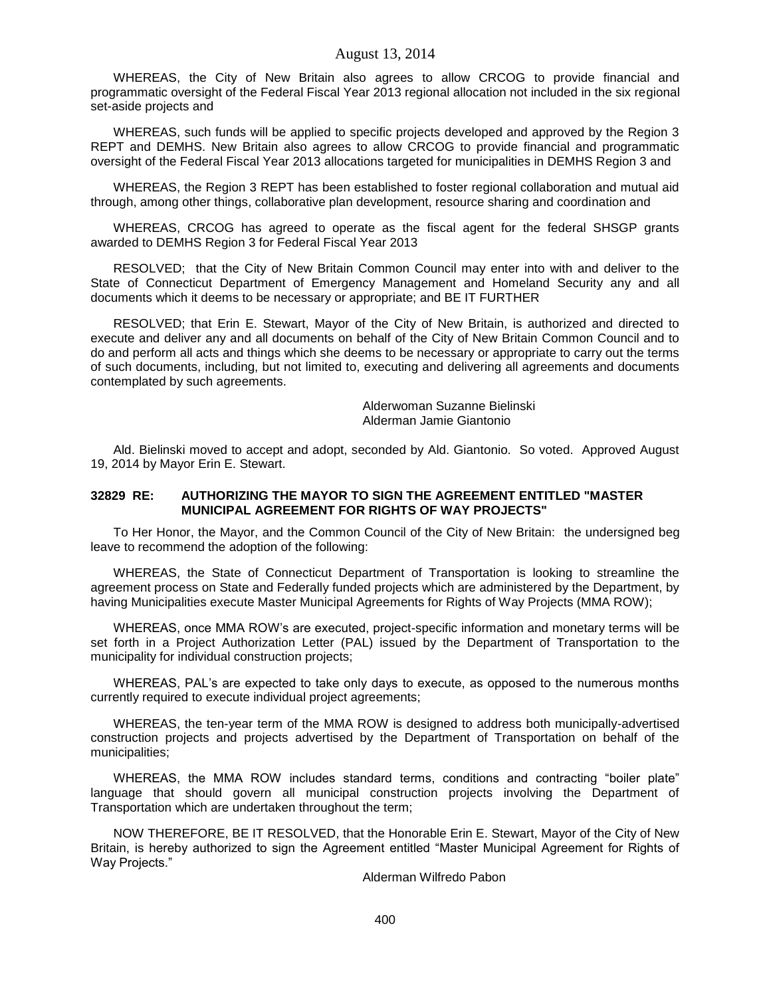WHEREAS, the City of New Britain also agrees to allow CRCOG to provide financial and programmatic oversight of the Federal Fiscal Year 2013 regional allocation not included in the six regional set-aside projects and

WHEREAS, such funds will be applied to specific projects developed and approved by the Region 3 REPT and DEMHS. New Britain also agrees to allow CRCOG to provide financial and programmatic oversight of the Federal Fiscal Year 2013 allocations targeted for municipalities in DEMHS Region 3 and

WHEREAS, the Region 3 REPT has been established to foster regional collaboration and mutual aid through, among other things, collaborative plan development, resource sharing and coordination and

WHEREAS, CRCOG has agreed to operate as the fiscal agent for the federal SHSGP grants awarded to DEMHS Region 3 for Federal Fiscal Year 2013

RESOLVED; that the City of New Britain Common Council may enter into with and deliver to the State of Connecticut Department of Emergency Management and Homeland Security any and all documents which it deems to be necessary or appropriate; and BE IT FURTHER

RESOLVED; that Erin E. Stewart, Mayor of the City of New Britain, is authorized and directed to execute and deliver any and all documents on behalf of the City of New Britain Common Council and to do and perform all acts and things which she deems to be necessary or appropriate to carry out the terms of such documents, including, but not limited to, executing and delivering all agreements and documents contemplated by such agreements.

> Alderwoman Suzanne Bielinski Alderman Jamie Giantonio

Ald. Bielinski moved to accept and adopt, seconded by Ald. Giantonio. So voted. Approved August 19, 2014 by Mayor Erin E. Stewart.

#### **32829 RE: AUTHORIZING THE MAYOR TO SIGN THE AGREEMENT ENTITLED "MASTER MUNICIPAL AGREEMENT FOR RIGHTS OF WAY PROJECTS"**

To Her Honor, the Mayor, and the Common Council of the City of New Britain: the undersigned beg leave to recommend the adoption of the following:

WHEREAS, the State of Connecticut Department of Transportation is looking to streamline the agreement process on State and Federally funded projects which are administered by the Department, by having Municipalities execute Master Municipal Agreements for Rights of Way Projects (MMA ROW);

WHEREAS, once MMA ROW's are executed, project-specific information and monetary terms will be set forth in a Project Authorization Letter (PAL) issued by the Department of Transportation to the municipality for individual construction projects;

WHEREAS, PAL's are expected to take only days to execute, as opposed to the numerous months currently required to execute individual project agreements;

WHEREAS, the ten-year term of the MMA ROW is designed to address both municipally-advertised construction projects and projects advertised by the Department of Transportation on behalf of the municipalities;

WHEREAS, the MMA ROW includes standard terms, conditions and contracting "boiler plate" language that should govern all municipal construction projects involving the Department of Transportation which are undertaken throughout the term;

NOW THEREFORE, BE IT RESOLVED, that the Honorable Erin E. Stewart, Mayor of the City of New Britain, is hereby authorized to sign the Agreement entitled "Master Municipal Agreement for Rights of Way Projects."

Alderman Wilfredo Pabon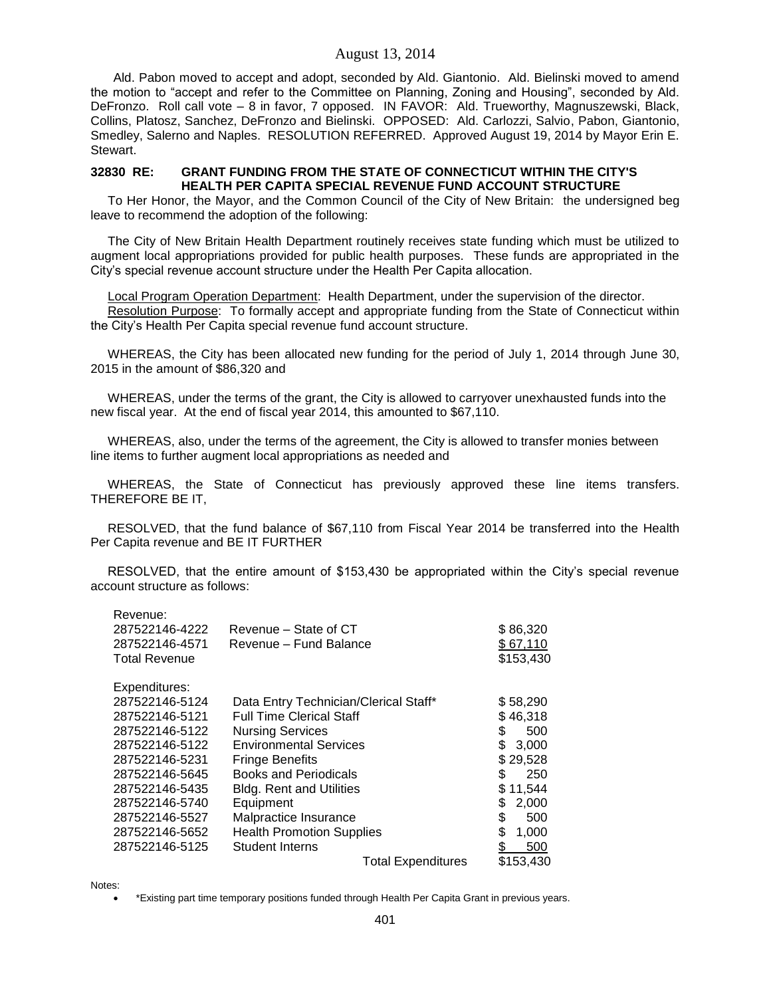Ald. Pabon moved to accept and adopt, seconded by Ald. Giantonio. Ald. Bielinski moved to amend the motion to "accept and refer to the Committee on Planning, Zoning and Housing", seconded by Ald. DeFronzo. Roll call vote – 8 in favor, 7 opposed. IN FAVOR: Ald. Trueworthy, Magnuszewski, Black, Collins, Platosz, Sanchez, DeFronzo and Bielinski. OPPOSED: Ald. Carlozzi, Salvio, Pabon, Giantonio, Smedley, Salerno and Naples. RESOLUTION REFERRED. Approved August 19, 2014 by Mayor Erin E. Stewart.

#### **32830 RE: GRANT FUNDING FROM THE STATE OF CONNECTICUT WITHIN THE CITY'S HEALTH PER CAPITA SPECIAL REVENUE FUND ACCOUNT STRUCTURE**

To Her Honor, the Mayor, and the Common Council of the City of New Britain: the undersigned beg leave to recommend the adoption of the following:

The City of New Britain Health Department routinely receives state funding which must be utilized to augment local appropriations provided for public health purposes. These funds are appropriated in the City's special revenue account structure under the Health Per Capita allocation.

Local Program Operation Department: Health Department, under the supervision of the director. Resolution Purpose: To formally accept and appropriate funding from the State of Connecticut within the City's Health Per Capita special revenue fund account structure.

WHEREAS, the City has been allocated new funding for the period of July 1, 2014 through June 30, 2015 in the amount of \$86,320 and

WHEREAS, under the terms of the grant, the City is allowed to carryover unexhausted funds into the new fiscal year. At the end of fiscal year 2014, this amounted to \$67,110.

WHEREAS, also, under the terms of the agreement, the City is allowed to transfer monies between line items to further augment local appropriations as needed and

WHEREAS, the State of Connecticut has previously approved these line items transfers. THEREFORE BE IT,

RESOLVED, that the fund balance of \$67,110 from Fiscal Year 2014 be transferred into the Health Per Capita revenue and BE IT FURTHER

RESOLVED, that the entire amount of \$153,430 be appropriated within the City's special revenue account structure as follows:

| ncvellue.            |                                       |             |
|----------------------|---------------------------------------|-------------|
| 287522146-4222       | Revenue – State of CT                 | \$86,320    |
| 287522146-4571       | Revenue - Fund Balance                | \$67,110    |
| <b>Total Revenue</b> |                                       | \$153,430   |
| Expenditures:        |                                       |             |
| 287522146-5124       | Data Entry Technician/Clerical Staff* | \$58,290    |
| 287522146-5121       | <b>Full Time Clerical Staff</b>       | \$46,318    |
| 287522146-5122       | <b>Nursing Services</b>               | \$<br>500   |
| 287522146-5122       | <b>Environmental Services</b>         | \$<br>3,000 |
| 287522146-5231       | <b>Fringe Benefits</b>                | \$29,528    |
| 287522146-5645       | <b>Books and Periodicals</b>          | \$<br>250   |
| 287522146-5435       | <b>Bldg. Rent and Utilities</b>       | \$11,544    |
| 287522146-5740       | Equipment                             | \$<br>2,000 |
| 287522146-5527       | Malpractice Insurance                 | \$<br>500   |
| 287522146-5652       | <b>Health Promotion Supplies</b>      | \$<br>1,000 |
| 287522146-5125       | <b>Student Interns</b>                | 500<br>S    |
|                      | <b>Total Expenditures</b>             | \$153,430   |

Notes:

Revenue:

\*Existing part time temporary positions funded through Health Per Capita Grant in previous years.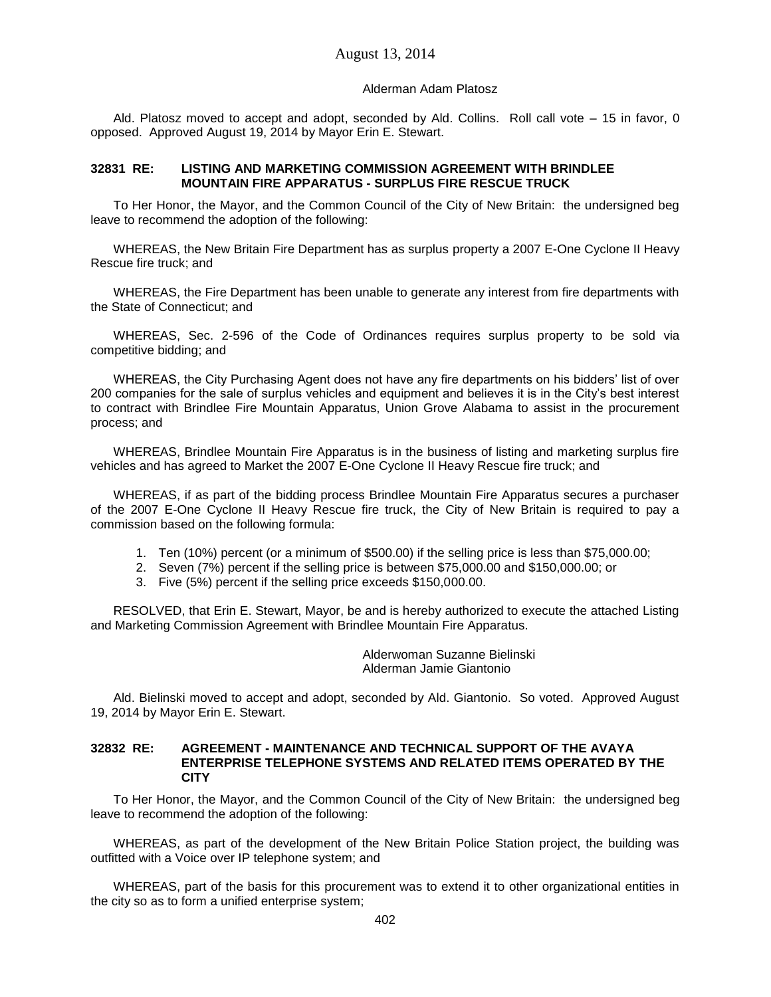## Alderman Adam Platosz

Ald. Platosz moved to accept and adopt, seconded by Ald. Collins. Roll call vote – 15 in favor, 0 opposed. Approved August 19, 2014 by Mayor Erin E. Stewart.

# **32831 RE: LISTING AND MARKETING COMMISSION AGREEMENT WITH BRINDLEE MOUNTAIN FIRE APPARATUS - SURPLUS FIRE RESCUE TRUCK**

To Her Honor, the Mayor, and the Common Council of the City of New Britain: the undersigned beg leave to recommend the adoption of the following:

WHEREAS, the New Britain Fire Department has as surplus property a 2007 E-One Cyclone II Heavy Rescue fire truck; and

WHEREAS, the Fire Department has been unable to generate any interest from fire departments with the State of Connecticut; and

WHEREAS, Sec. 2-596 of the Code of Ordinances requires surplus property to be sold via competitive bidding; and

WHEREAS, the City Purchasing Agent does not have any fire departments on his bidders' list of over 200 companies for the sale of surplus vehicles and equipment and believes it is in the City's best interest to contract with Brindlee Fire Mountain Apparatus, Union Grove Alabama to assist in the procurement process; and

WHEREAS, Brindlee Mountain Fire Apparatus is in the business of listing and marketing surplus fire vehicles and has agreed to Market the 2007 E-One Cyclone II Heavy Rescue fire truck; and

WHEREAS, if as part of the bidding process Brindlee Mountain Fire Apparatus secures a purchaser of the 2007 E-One Cyclone II Heavy Rescue fire truck, the City of New Britain is required to pay a commission based on the following formula:

- 1. Ten (10%) percent (or a minimum of \$500.00) if the selling price is less than \$75,000.00;
- 2. Seven (7%) percent if the selling price is between \$75,000.00 and \$150,000.00; or
- 3. Five (5%) percent if the selling price exceeds \$150,000.00.

RESOLVED, that Erin E. Stewart, Mayor, be and is hereby authorized to execute the attached Listing and Marketing Commission Agreement with Brindlee Mountain Fire Apparatus.

> Alderwoman Suzanne Bielinski Alderman Jamie Giantonio

Ald. Bielinski moved to accept and adopt, seconded by Ald. Giantonio. So voted. Approved August 19, 2014 by Mayor Erin E. Stewart.

## **32832 RE: AGREEMENT - MAINTENANCE AND TECHNICAL SUPPORT OF THE AVAYA ENTERPRISE TELEPHONE SYSTEMS AND RELATED ITEMS OPERATED BY THE CITY**

To Her Honor, the Mayor, and the Common Council of the City of New Britain: the undersigned beg leave to recommend the adoption of the following:

WHEREAS, as part of the development of the New Britain Police Station project, the building was outfitted with a Voice over IP telephone system; and

WHEREAS, part of the basis for this procurement was to extend it to other organizational entities in the city so as to form a unified enterprise system;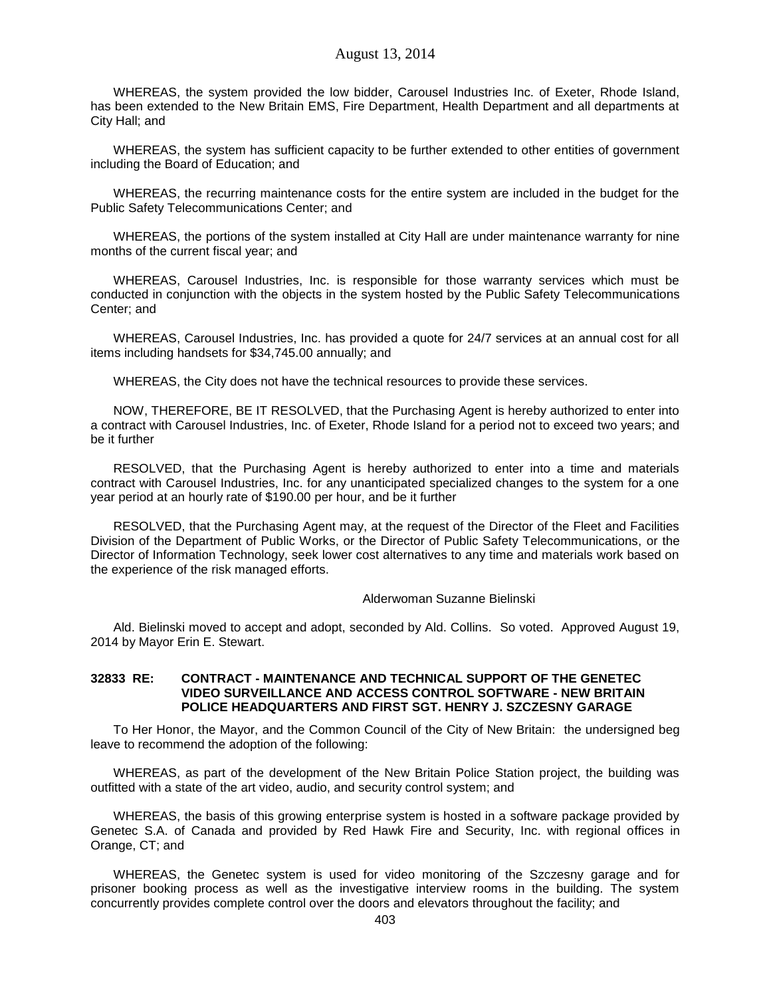WHEREAS, the system provided the low bidder, Carousel Industries Inc. of Exeter, Rhode Island, has been extended to the New Britain EMS, Fire Department, Health Department and all departments at City Hall; and

WHEREAS, the system has sufficient capacity to be further extended to other entities of government including the Board of Education; and

WHEREAS, the recurring maintenance costs for the entire system are included in the budget for the Public Safety Telecommunications Center; and

WHEREAS, the portions of the system installed at City Hall are under maintenance warranty for nine months of the current fiscal year; and

WHEREAS, Carousel Industries, Inc. is responsible for those warranty services which must be conducted in conjunction with the objects in the system hosted by the Public Safety Telecommunications Center; and

WHEREAS, Carousel Industries, Inc. has provided a quote for 24/7 services at an annual cost for all items including handsets for \$34,745.00 annually; and

WHEREAS, the City does not have the technical resources to provide these services.

NOW, THEREFORE, BE IT RESOLVED, that the Purchasing Agent is hereby authorized to enter into a contract with Carousel Industries, Inc. of Exeter, Rhode Island for a period not to exceed two years; and be it further

RESOLVED, that the Purchasing Agent is hereby authorized to enter into a time and materials contract with Carousel Industries, Inc. for any unanticipated specialized changes to the system for a one year period at an hourly rate of \$190.00 per hour, and be it further

RESOLVED, that the Purchasing Agent may, at the request of the Director of the Fleet and Facilities Division of the Department of Public Works, or the Director of Public Safety Telecommunications, or the Director of Information Technology, seek lower cost alternatives to any time and materials work based on the experience of the risk managed efforts.

#### Alderwoman Suzanne Bielinski

Ald. Bielinski moved to accept and adopt, seconded by Ald. Collins. So voted. Approved August 19, 2014 by Mayor Erin E. Stewart.

### **32833 RE: CONTRACT - MAINTENANCE AND TECHNICAL SUPPORT OF THE GENETEC VIDEO SURVEILLANCE AND ACCESS CONTROL SOFTWARE - NEW BRITAIN POLICE HEADQUARTERS AND FIRST SGT. HENRY J. SZCZESNY GARAGE**

To Her Honor, the Mayor, and the Common Council of the City of New Britain: the undersigned beg leave to recommend the adoption of the following:

WHEREAS, as part of the development of the New Britain Police Station project, the building was outfitted with a state of the art video, audio, and security control system; and

WHEREAS, the basis of this growing enterprise system is hosted in a software package provided by Genetec S.A. of Canada and provided by Red Hawk Fire and Security, Inc. with regional offices in Orange, CT; and

WHEREAS, the Genetec system is used for video monitoring of the Szczesny garage and for prisoner booking process as well as the investigative interview rooms in the building. The system concurrently provides complete control over the doors and elevators throughout the facility; and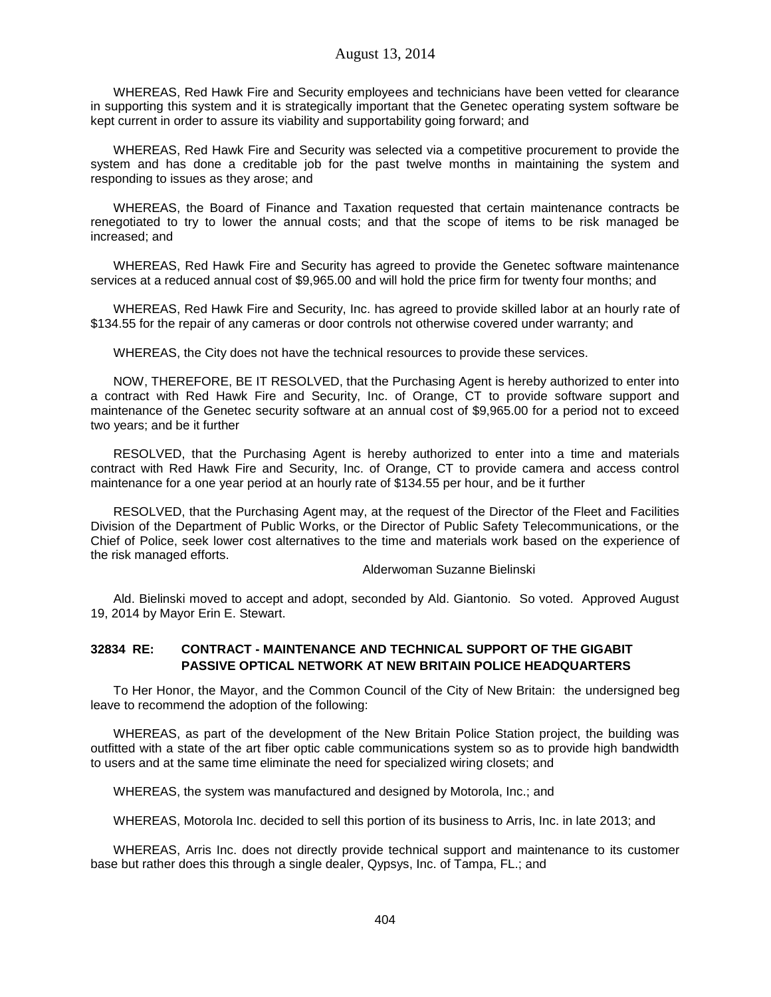WHEREAS, Red Hawk Fire and Security employees and technicians have been vetted for clearance in supporting this system and it is strategically important that the Genetec operating system software be kept current in order to assure its viability and supportability going forward; and

WHEREAS, Red Hawk Fire and Security was selected via a competitive procurement to provide the system and has done a creditable job for the past twelve months in maintaining the system and responding to issues as they arose; and

WHEREAS, the Board of Finance and Taxation requested that certain maintenance contracts be renegotiated to try to lower the annual costs; and that the scope of items to be risk managed be increased; and

WHEREAS, Red Hawk Fire and Security has agreed to provide the Genetec software maintenance services at a reduced annual cost of \$9,965.00 and will hold the price firm for twenty four months; and

WHEREAS, Red Hawk Fire and Security, Inc. has agreed to provide skilled labor at an hourly rate of \$134.55 for the repair of any cameras or door controls not otherwise covered under warranty; and

WHEREAS, the City does not have the technical resources to provide these services.

NOW, THEREFORE, BE IT RESOLVED, that the Purchasing Agent is hereby authorized to enter into a contract with Red Hawk Fire and Security, Inc. of Orange, CT to provide software support and maintenance of the Genetec security software at an annual cost of \$9,965.00 for a period not to exceed two years; and be it further

RESOLVED, that the Purchasing Agent is hereby authorized to enter into a time and materials contract with Red Hawk Fire and Security, Inc. of Orange, CT to provide camera and access control maintenance for a one year period at an hourly rate of \$134.55 per hour, and be it further

RESOLVED, that the Purchasing Agent may, at the request of the Director of the Fleet and Facilities Division of the Department of Public Works, or the Director of Public Safety Telecommunications, or the Chief of Police, seek lower cost alternatives to the time and materials work based on the experience of the risk managed efforts.

#### Alderwoman Suzanne Bielinski

Ald. Bielinski moved to accept and adopt, seconded by Ald. Giantonio. So voted. Approved August 19, 2014 by Mayor Erin E. Stewart.

# **32834 RE: CONTRACT - MAINTENANCE AND TECHNICAL SUPPORT OF THE GIGABIT PASSIVE OPTICAL NETWORK AT NEW BRITAIN POLICE HEADQUARTERS**

To Her Honor, the Mayor, and the Common Council of the City of New Britain: the undersigned beg leave to recommend the adoption of the following:

WHEREAS, as part of the development of the New Britain Police Station project, the building was outfitted with a state of the art fiber optic cable communications system so as to provide high bandwidth to users and at the same time eliminate the need for specialized wiring closets; and

WHEREAS, the system was manufactured and designed by Motorola, Inc.; and

WHEREAS, Motorola Inc. decided to sell this portion of its business to Arris, Inc. in late 2013; and

WHEREAS, Arris Inc. does not directly provide technical support and maintenance to its customer base but rather does this through a single dealer, Qypsys, Inc. of Tampa, FL.; and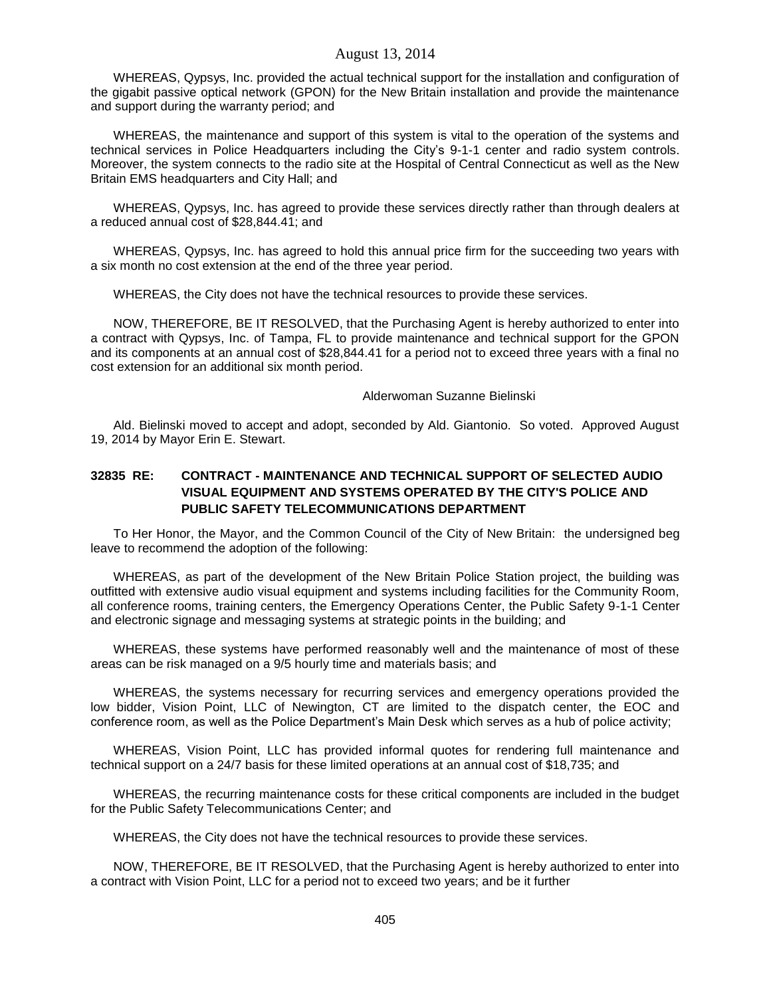WHEREAS, Qypsys, Inc. provided the actual technical support for the installation and configuration of the gigabit passive optical network (GPON) for the New Britain installation and provide the maintenance and support during the warranty period; and

WHEREAS, the maintenance and support of this system is vital to the operation of the systems and technical services in Police Headquarters including the City's 9-1-1 center and radio system controls. Moreover, the system connects to the radio site at the Hospital of Central Connecticut as well as the New Britain EMS headquarters and City Hall; and

WHEREAS, Qypsys, Inc. has agreed to provide these services directly rather than through dealers at a reduced annual cost of \$28,844.41; and

WHEREAS, Qypsys, Inc. has agreed to hold this annual price firm for the succeeding two years with a six month no cost extension at the end of the three year period.

WHEREAS, the City does not have the technical resources to provide these services.

NOW, THEREFORE, BE IT RESOLVED, that the Purchasing Agent is hereby authorized to enter into a contract with Qypsys, Inc. of Tampa, FL to provide maintenance and technical support for the GPON and its components at an annual cost of \$28,844.41 for a period not to exceed three years with a final no cost extension for an additional six month period.

#### Alderwoman Suzanne Bielinski

Ald. Bielinski moved to accept and adopt, seconded by Ald. Giantonio. So voted. Approved August 19, 2014 by Mayor Erin E. Stewart.

# **32835 RE: CONTRACT - MAINTENANCE AND TECHNICAL SUPPORT OF SELECTED AUDIO VISUAL EQUIPMENT AND SYSTEMS OPERATED BY THE CITY'S POLICE AND PUBLIC SAFETY TELECOMMUNICATIONS DEPARTMENT**

To Her Honor, the Mayor, and the Common Council of the City of New Britain: the undersigned beg leave to recommend the adoption of the following:

WHEREAS, as part of the development of the New Britain Police Station project, the building was outfitted with extensive audio visual equipment and systems including facilities for the Community Room, all conference rooms, training centers, the Emergency Operations Center, the Public Safety 9-1-1 Center and electronic signage and messaging systems at strategic points in the building; and

WHEREAS, these systems have performed reasonably well and the maintenance of most of these areas can be risk managed on a 9/5 hourly time and materials basis; and

WHEREAS, the systems necessary for recurring services and emergency operations provided the low bidder, Vision Point, LLC of Newington, CT are limited to the dispatch center, the EOC and conference room, as well as the Police Department's Main Desk which serves as a hub of police activity;

WHEREAS, Vision Point, LLC has provided informal quotes for rendering full maintenance and technical support on a 24/7 basis for these limited operations at an annual cost of \$18,735; and

WHEREAS, the recurring maintenance costs for these critical components are included in the budget for the Public Safety Telecommunications Center; and

WHEREAS, the City does not have the technical resources to provide these services.

NOW, THEREFORE, BE IT RESOLVED, that the Purchasing Agent is hereby authorized to enter into a contract with Vision Point, LLC for a period not to exceed two years; and be it further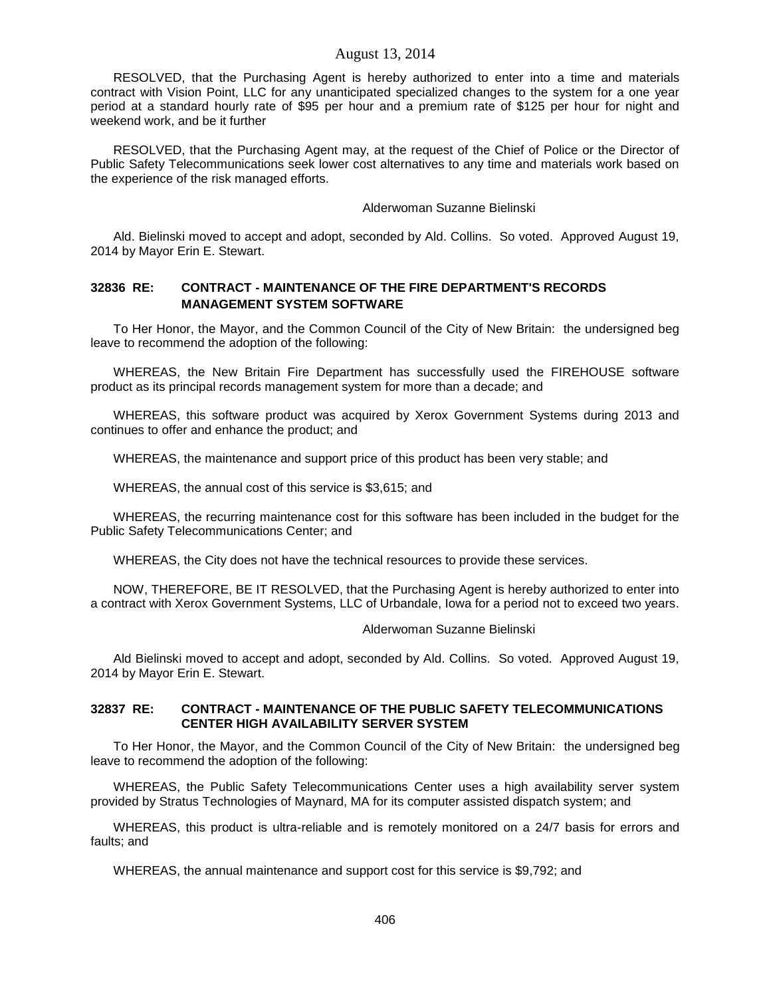RESOLVED, that the Purchasing Agent is hereby authorized to enter into a time and materials contract with Vision Point, LLC for any unanticipated specialized changes to the system for a one year period at a standard hourly rate of \$95 per hour and a premium rate of \$125 per hour for night and weekend work, and be it further

RESOLVED, that the Purchasing Agent may, at the request of the Chief of Police or the Director of Public Safety Telecommunications seek lower cost alternatives to any time and materials work based on the experience of the risk managed efforts.

Alderwoman Suzanne Bielinski

Ald. Bielinski moved to accept and adopt, seconded by Ald. Collins. So voted. Approved August 19, 2014 by Mayor Erin E. Stewart.

# **32836 RE: CONTRACT - MAINTENANCE OF THE FIRE DEPARTMENT'S RECORDS MANAGEMENT SYSTEM SOFTWARE**

To Her Honor, the Mayor, and the Common Council of the City of New Britain: the undersigned beg leave to recommend the adoption of the following:

WHEREAS, the New Britain Fire Department has successfully used the FIREHOUSE software product as its principal records management system for more than a decade; and

WHEREAS, this software product was acquired by Xerox Government Systems during 2013 and continues to offer and enhance the product; and

WHEREAS, the maintenance and support price of this product has been very stable; and

WHEREAS, the annual cost of this service is \$3,615; and

WHEREAS, the recurring maintenance cost for this software has been included in the budget for the Public Safety Telecommunications Center; and

WHEREAS, the City does not have the technical resources to provide these services.

NOW, THEREFORE, BE IT RESOLVED, that the Purchasing Agent is hereby authorized to enter into a contract with Xerox Government Systems, LLC of Urbandale, Iowa for a period not to exceed two years.

### Alderwoman Suzanne Bielinski

Ald Bielinski moved to accept and adopt, seconded by Ald. Collins. So voted. Approved August 19, 2014 by Mayor Erin E. Stewart.

### **32837 RE: CONTRACT - MAINTENANCE OF THE PUBLIC SAFETY TELECOMMUNICATIONS CENTER HIGH AVAILABILITY SERVER SYSTEM**

To Her Honor, the Mayor, and the Common Council of the City of New Britain: the undersigned beg leave to recommend the adoption of the following:

WHEREAS, the Public Safety Telecommunications Center uses a high availability server system provided by Stratus Technologies of Maynard, MA for its computer assisted dispatch system; and

WHEREAS, this product is ultra-reliable and is remotely monitored on a 24/7 basis for errors and faults; and

WHEREAS, the annual maintenance and support cost for this service is \$9,792; and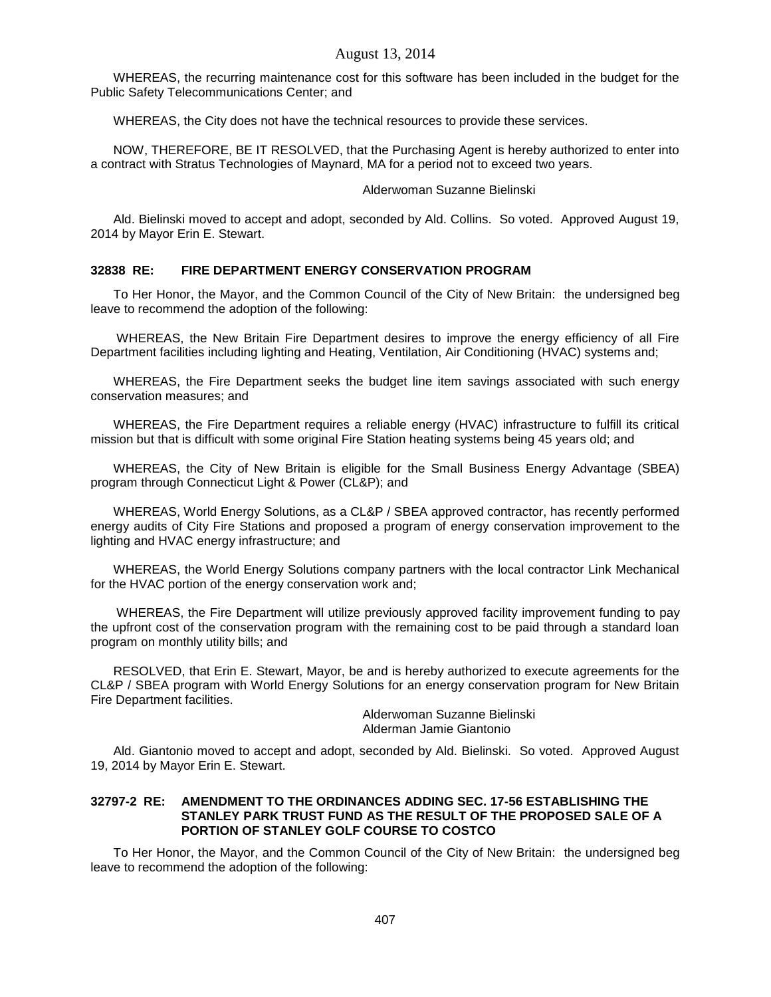WHEREAS, the recurring maintenance cost for this software has been included in the budget for the Public Safety Telecommunications Center; and

WHEREAS, the City does not have the technical resources to provide these services.

NOW, THEREFORE, BE IT RESOLVED, that the Purchasing Agent is hereby authorized to enter into a contract with Stratus Technologies of Maynard, MA for a period not to exceed two years.

## Alderwoman Suzanne Bielinski

Ald. Bielinski moved to accept and adopt, seconded by Ald. Collins. So voted. Approved August 19, 2014 by Mayor Erin E. Stewart.

# **32838 RE: FIRE DEPARTMENT ENERGY CONSERVATION PROGRAM**

To Her Honor, the Mayor, and the Common Council of the City of New Britain: the undersigned beg leave to recommend the adoption of the following:

WHEREAS, the New Britain Fire Department desires to improve the energy efficiency of all Fire Department facilities including lighting and Heating, Ventilation, Air Conditioning (HVAC) systems and;

WHEREAS, the Fire Department seeks the budget line item savings associated with such energy conservation measures; and

WHEREAS, the Fire Department requires a reliable energy (HVAC) infrastructure to fulfill its critical mission but that is difficult with some original Fire Station heating systems being 45 years old; and

WHEREAS, the City of New Britain is eligible for the Small Business Energy Advantage (SBEA) program through Connecticut Light & Power (CL&P); and

WHEREAS, World Energy Solutions, as a CL&P / SBEA approved contractor, has recently performed energy audits of City Fire Stations and proposed a program of energy conservation improvement to the lighting and HVAC energy infrastructure; and

WHEREAS, the World Energy Solutions company partners with the local contractor Link Mechanical for the HVAC portion of the energy conservation work and;

WHEREAS, the Fire Department will utilize previously approved facility improvement funding to pay the upfront cost of the conservation program with the remaining cost to be paid through a standard loan program on monthly utility bills; and

RESOLVED, that Erin E. Stewart, Mayor, be and is hereby authorized to execute agreements for the CL&P / SBEA program with World Energy Solutions for an energy conservation program for New Britain Fire Department facilities.

Alderwoman Suzanne Bielinski Alderman Jamie Giantonio

Ald. Giantonio moved to accept and adopt, seconded by Ald. Bielinski. So voted. Approved August 19, 2014 by Mayor Erin E. Stewart.

## **32797-2 RE: AMENDMENT TO THE ORDINANCES ADDING SEC. 17-56 ESTABLISHING THE STANLEY PARK TRUST FUND AS THE RESULT OF THE PROPOSED SALE OF A PORTION OF STANLEY GOLF COURSE TO COSTCO**

To Her Honor, the Mayor, and the Common Council of the City of New Britain: the undersigned beg leave to recommend the adoption of the following: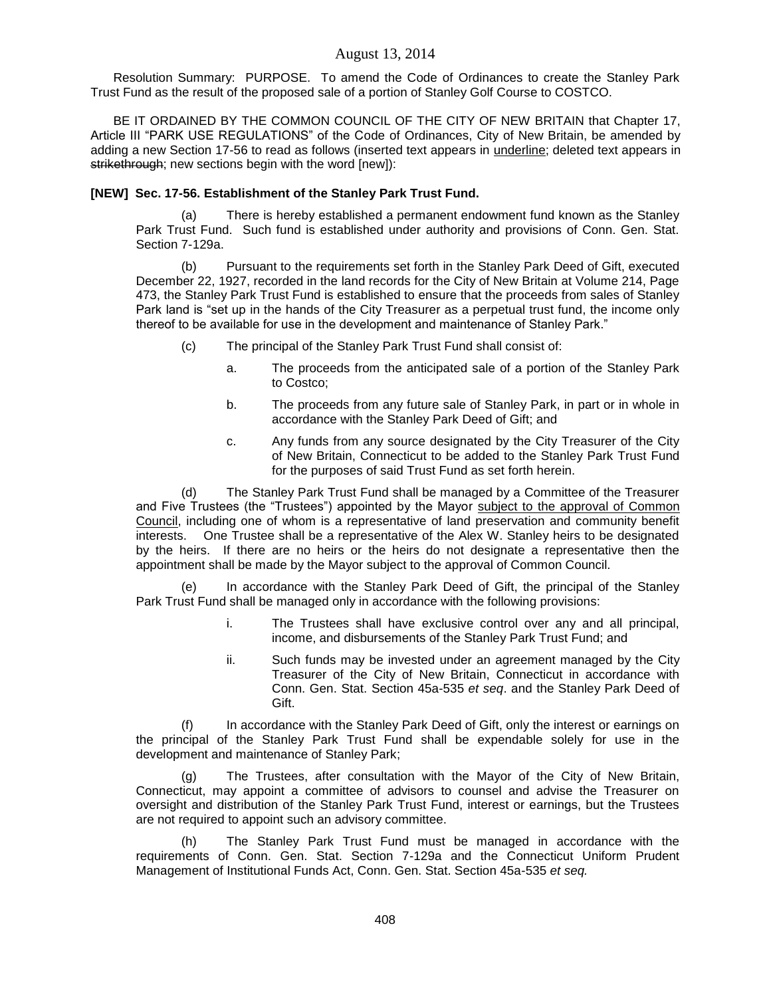Resolution Summary: PURPOSE. To amend the Code of Ordinances to create the Stanley Park Trust Fund as the result of the proposed sale of a portion of Stanley Golf Course to COSTCO.

BE IT ORDAINED BY THE COMMON COUNCIL OF THE CITY OF NEW BRITAIN that Chapter 17, Article III "PARK USE REGULATIONS" of the Code of Ordinances, City of New Britain, be amended by adding a new Section 17-56 to read as follows (inserted text appears in underline; deleted text appears in strikethrough; new sections begin with the word [new]):

# **[NEW] Sec. 17-56. Establishment of the Stanley Park Trust Fund.**

(a) There is hereby established a permanent endowment fund known as the Stanley Park Trust Fund. Such fund is established under authority and provisions of Conn. Gen. Stat. Section 7-129a.

(b) Pursuant to the requirements set forth in the Stanley Park Deed of Gift, executed December 22, 1927, recorded in the land records for the City of New Britain at Volume 214, Page 473, the Stanley Park Trust Fund is established to ensure that the proceeds from sales of Stanley Park land is "set up in the hands of the City Treasurer as a perpetual trust fund, the income only thereof to be available for use in the development and maintenance of Stanley Park."

- (c) The principal of the Stanley Park Trust Fund shall consist of:
	- a. The proceeds from the anticipated sale of a portion of the Stanley Park to Costco;
	- b. The proceeds from any future sale of Stanley Park, in part or in whole in accordance with the Stanley Park Deed of Gift; and
	- c. Any funds from any source designated by the City Treasurer of the City of New Britain, Connecticut to be added to the Stanley Park Trust Fund for the purposes of said Trust Fund as set forth herein.

(d) The Stanley Park Trust Fund shall be managed by a Committee of the Treasurer and Five Trustees (the "Trustees") appointed by the Mayor subject to the approval of Common Council, including one of whom is a representative of land preservation and community benefit interests. One Trustee shall be a representative of the Alex W. Stanley heirs to be designated by the heirs. If there are no heirs or the heirs do not designate a representative then the appointment shall be made by the Mayor subject to the approval of Common Council.

(e) In accordance with the Stanley Park Deed of Gift, the principal of the Stanley Park Trust Fund shall be managed only in accordance with the following provisions:

- i. The Trustees shall have exclusive control over any and all principal, income, and disbursements of the Stanley Park Trust Fund; and
- ii. Such funds may be invested under an agreement managed by the City Treasurer of the City of New Britain, Connecticut in accordance with Conn. Gen. Stat. Section 45a-535 *et seq*. and the Stanley Park Deed of Gift.

(f) In accordance with the Stanley Park Deed of Gift, only the interest or earnings on the principal of the Stanley Park Trust Fund shall be expendable solely for use in the development and maintenance of Stanley Park;

(g) The Trustees, after consultation with the Mayor of the City of New Britain, Connecticut, may appoint a committee of advisors to counsel and advise the Treasurer on oversight and distribution of the Stanley Park Trust Fund, interest or earnings, but the Trustees are not required to appoint such an advisory committee.

(h) The Stanley Park Trust Fund must be managed in accordance with the requirements of Conn. Gen. Stat. Section 7-129a and the Connecticut Uniform Prudent Management of Institutional Funds Act, Conn. Gen. Stat. Section 45a-535 *et seq.*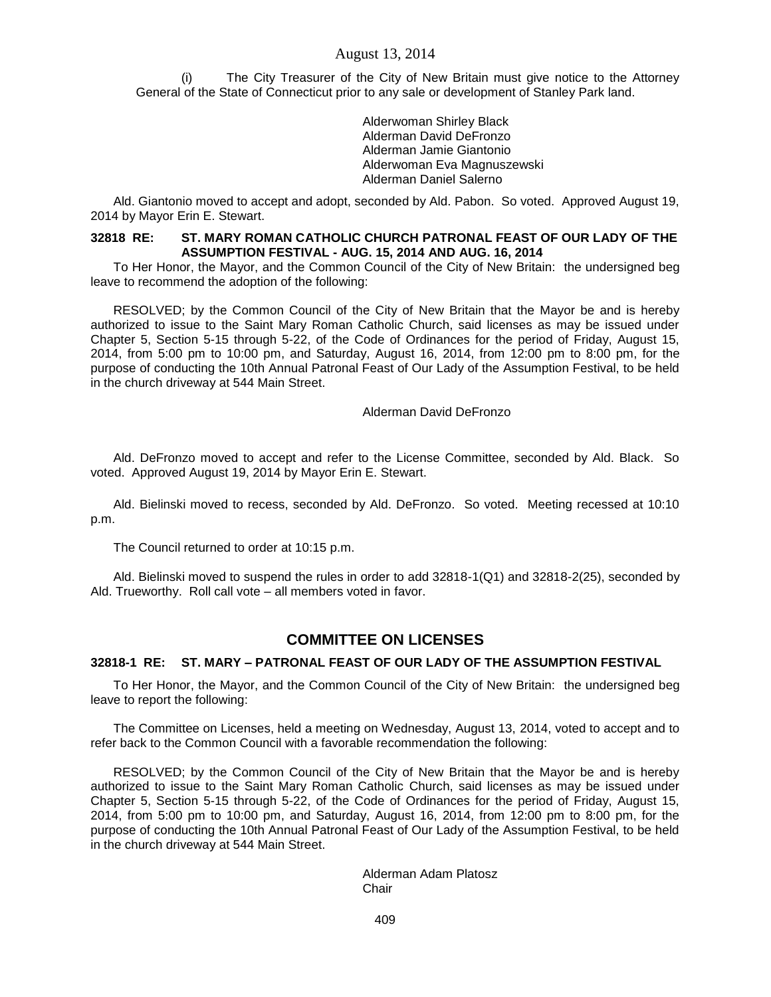The City Treasurer of the City of New Britain must give notice to the Attorney General of the State of Connecticut prior to any sale or development of Stanley Park land.

> Alderwoman Shirley Black Alderman David DeFronzo Alderman Jamie Giantonio Alderwoman Eva Magnuszewski Alderman Daniel Salerno

Ald. Giantonio moved to accept and adopt, seconded by Ald. Pabon. So voted. Approved August 19, 2014 by Mayor Erin E. Stewart.

### **32818 RE: ST. MARY ROMAN CATHOLIC CHURCH PATRONAL FEAST OF OUR LADY OF THE ASSUMPTION FESTIVAL - AUG. 15, 2014 AND AUG. 16, 2014**

To Her Honor, the Mayor, and the Common Council of the City of New Britain: the undersigned beg leave to recommend the adoption of the following:

RESOLVED; by the Common Council of the City of New Britain that the Mayor be and is hereby authorized to issue to the Saint Mary Roman Catholic Church, said licenses as may be issued under Chapter 5, Section 5-15 through 5-22, of the Code of Ordinances for the period of Friday, August 15, 2014, from 5:00 pm to 10:00 pm, and Saturday, August 16, 2014, from 12:00 pm to 8:00 pm, for the purpose of conducting the 10th Annual Patronal Feast of Our Lady of the Assumption Festival, to be held in the church driveway at 544 Main Street.

#### Alderman David DeFronzo

Ald. DeFronzo moved to accept and refer to the License Committee, seconded by Ald. Black. So voted. Approved August 19, 2014 by Mayor Erin E. Stewart.

Ald. Bielinski moved to recess, seconded by Ald. DeFronzo. So voted. Meeting recessed at 10:10 p.m.

The Council returned to order at 10:15 p.m.

Ald. Bielinski moved to suspend the rules in order to add 32818-1(Q1) and 32818-2(25), seconded by Ald. Trueworthy. Roll call vote – all members voted in favor.

# **COMMITTEE ON LICENSES**

#### **32818-1 RE: ST. MARY – PATRONAL FEAST OF OUR LADY OF THE ASSUMPTION FESTIVAL**

To Her Honor, the Mayor, and the Common Council of the City of New Britain: the undersigned beg leave to report the following:

The Committee on Licenses, held a meeting on Wednesday, August 13, 2014, voted to accept and to refer back to the Common Council with a favorable recommendation the following:

RESOLVED; by the Common Council of the City of New Britain that the Mayor be and is hereby authorized to issue to the Saint Mary Roman Catholic Church, said licenses as may be issued under Chapter 5, Section 5-15 through 5-22, of the Code of Ordinances for the period of Friday, August 15, 2014, from 5:00 pm to 10:00 pm, and Saturday, August 16, 2014, from 12:00 pm to 8:00 pm, for the purpose of conducting the 10th Annual Patronal Feast of Our Lady of the Assumption Festival, to be held in the church driveway at 544 Main Street.

> Alderman Adam Platosz **Chair**